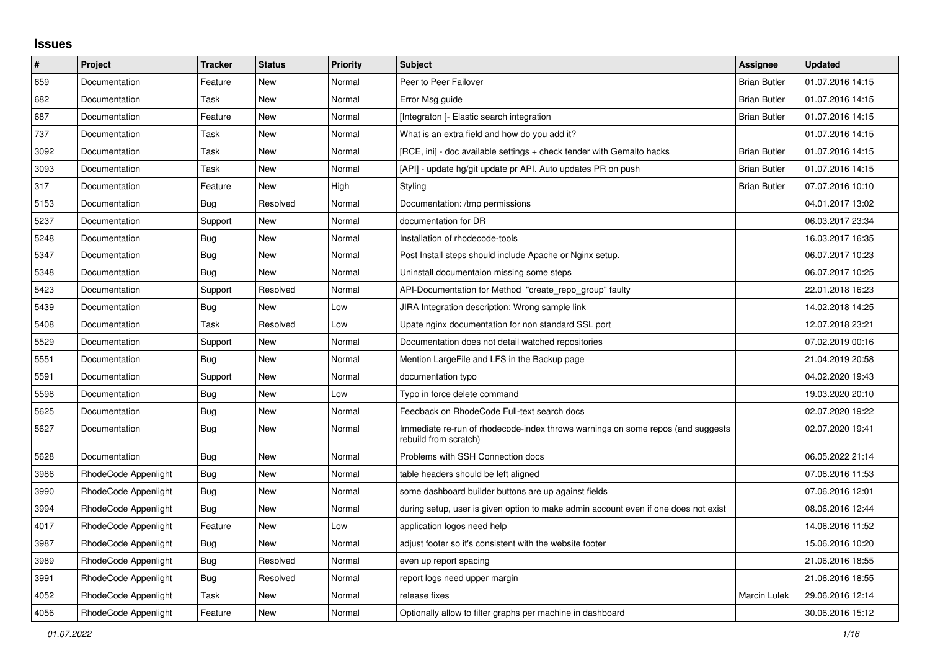## **Issues**

| $\#$ | Project              | <b>Tracker</b> | <b>Status</b> | <b>Priority</b> | <b>Subject</b>                                                                                           | <b>Assignee</b>     | <b>Updated</b>   |
|------|----------------------|----------------|---------------|-----------------|----------------------------------------------------------------------------------------------------------|---------------------|------------------|
| 659  | Documentation        | Feature        | New           | Normal          | Peer to Peer Failover                                                                                    | <b>Brian Butler</b> | 01.07.2016 14:15 |
| 682  | Documentation        | Task           | New           | Normal          | Error Msg guide                                                                                          | <b>Brian Butler</b> | 01.07.2016 14:15 |
| 687  | Documentation        | Feature        | New           | Normal          | [Integraton] - Elastic search integration                                                                | <b>Brian Butler</b> | 01.07.2016 14:15 |
| 737  | Documentation        | Task           | New           | Normal          | What is an extra field and how do you add it?                                                            |                     | 01.07.2016 14:15 |
| 3092 | Documentation        | Task           | New           | Normal          | [RCE, ini] - doc available settings + check tender with Gemalto hacks                                    | <b>Brian Butler</b> | 01.07.2016 14:15 |
| 3093 | Documentation        | Task           | New           | Normal          | [API] - update hg/git update pr API. Auto updates PR on push                                             | <b>Brian Butler</b> | 01.07.2016 14:15 |
| 317  | Documentation        | Feature        | New           | High            | Styling                                                                                                  | <b>Brian Butler</b> | 07.07.2016 10:10 |
| 5153 | Documentation        | Bug            | Resolved      | Normal          | Documentation: /tmp permissions                                                                          |                     | 04.01.2017 13:02 |
| 5237 | Documentation        | Support        | <b>New</b>    | Normal          | documentation for DR                                                                                     |                     | 06.03.2017 23:34 |
| 5248 | Documentation        | Bug            | New           | Normal          | Installation of rhodecode-tools                                                                          |                     | 16.03.2017 16:35 |
| 5347 | Documentation        | Bug            | New           | Normal          | Post Install steps should include Apache or Nginx setup.                                                 |                     | 06.07.2017 10:23 |
| 5348 | Documentation        | Bug            | <b>New</b>    | Normal          | Uninstall documentaion missing some steps                                                                |                     | 06.07.2017 10:25 |
| 5423 | Documentation        | Support        | Resolved      | Normal          | API-Documentation for Method "create_repo_group" faulty                                                  |                     | 22.01.2018 16:23 |
| 5439 | Documentation        | <b>Bug</b>     | <b>New</b>    | Low             | JIRA Integration description: Wrong sample link                                                          |                     | 14.02.2018 14:25 |
| 5408 | Documentation        | Task           | Resolved      | Low             | Upate nginx documentation for non standard SSL port                                                      |                     | 12.07.2018 23:21 |
| 5529 | Documentation        | Support        | New           | Normal          | Documentation does not detail watched repositories                                                       |                     | 07.02.2019 00:16 |
| 5551 | Documentation        | <b>Bug</b>     | New           | Normal          | Mention LargeFile and LFS in the Backup page                                                             |                     | 21.04.2019 20:58 |
| 5591 | Documentation        | Support        | <b>New</b>    | Normal          | documentation typo                                                                                       |                     | 04.02.2020 19:43 |
| 5598 | Documentation        | <b>Bug</b>     | <b>New</b>    | Low             | Typo in force delete command                                                                             |                     | 19.03.2020 20:10 |
| 5625 | Documentation        | Bug            | <b>New</b>    | Normal          | Feedback on RhodeCode Full-text search docs                                                              |                     | 02.07.2020 19:22 |
| 5627 | Documentation        | <b>Bug</b>     | New           | Normal          | Immediate re-run of rhodecode-index throws warnings on some repos (and suggests<br>rebuild from scratch) |                     | 02.07.2020 19:41 |
| 5628 | Documentation        | Bug            | New           | Normal          | Problems with SSH Connection docs                                                                        |                     | 06.05.2022 21:14 |
| 3986 | RhodeCode Appenlight | <b>Bug</b>     | New           | Normal          | table headers should be left aligned                                                                     |                     | 07.06.2016 11:53 |
| 3990 | RhodeCode Appenlight | Bug            | <b>New</b>    | Normal          | some dashboard builder buttons are up against fields                                                     |                     | 07.06.2016 12:01 |
| 3994 | RhodeCode Appenlight | <b>Bug</b>     | New           | Normal          | during setup, user is given option to make admin account even if one does not exist                      |                     | 08.06.2016 12:44 |
| 4017 | RhodeCode Appenlight | Feature        | New           | Low             | application logos need help                                                                              |                     | 14.06.2016 11:52 |
| 3987 | RhodeCode Appenlight | <b>Bug</b>     | New           | Normal          | adjust footer so it's consistent with the website footer                                                 |                     | 15.06.2016 10:20 |
| 3989 | RhodeCode Appenlight | Bug            | Resolved      | Normal          | even up report spacing                                                                                   |                     | 21.06.2016 18:55 |
| 3991 | RhodeCode Appenlight | <b>Bug</b>     | Resolved      | Normal          | report logs need upper margin                                                                            |                     | 21.06.2016 18:55 |
| 4052 | RhodeCode Appenlight | Task           | New           | Normal          | release fixes                                                                                            | <b>Marcin Lulek</b> | 29.06.2016 12:14 |
| 4056 | RhodeCode Appenlight | Feature        | New           | Normal          | Optionally allow to filter graphs per machine in dashboard                                               |                     | 30.06.2016 15:12 |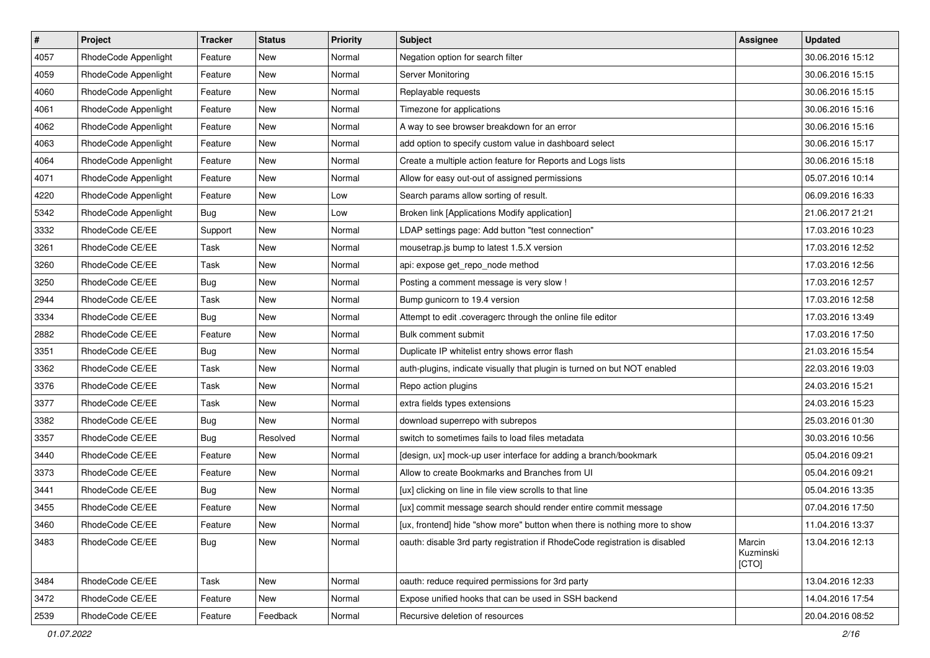| $\pmb{\#}$ | Project              | <b>Tracker</b> | <b>Status</b> | Priority | Subject                                                                     | Assignee                     | <b>Updated</b>   |
|------------|----------------------|----------------|---------------|----------|-----------------------------------------------------------------------------|------------------------------|------------------|
| 4057       | RhodeCode Appenlight | Feature        | New           | Normal   | Negation option for search filter                                           |                              | 30.06.2016 15:12 |
| 4059       | RhodeCode Appenlight | Feature        | <b>New</b>    | Normal   | Server Monitoring                                                           |                              | 30.06.2016 15:15 |
| 4060       | RhodeCode Appenlight | Feature        | New           | Normal   | Replayable requests                                                         |                              | 30.06.2016 15:15 |
| 4061       | RhodeCode Appenlight | Feature        | New           | Normal   | Timezone for applications                                                   |                              | 30.06.2016 15:16 |
| 4062       | RhodeCode Appenlight | Feature        | <b>New</b>    | Normal   | A way to see browser breakdown for an error                                 |                              | 30.06.2016 15:16 |
| 4063       | RhodeCode Appenlight | Feature        | New           | Normal   | add option to specify custom value in dashboard select                      |                              | 30.06.2016 15:17 |
| 4064       | RhodeCode Appenlight | Feature        | New           | Normal   | Create a multiple action feature for Reports and Logs lists                 |                              | 30.06.2016 15:18 |
| 4071       | RhodeCode Appenlight | Feature        | New           | Normal   | Allow for easy out-out of assigned permissions                              |                              | 05.07.2016 10:14 |
| 4220       | RhodeCode Appenlight | Feature        | New           | Low      | Search params allow sorting of result.                                      |                              | 06.09.2016 16:33 |
| 5342       | RhodeCode Appenlight | Bug            | <b>New</b>    | Low      | Broken link [Applications Modify application]                               |                              | 21.06.2017 21:21 |
| 3332       | RhodeCode CE/EE      | Support        | New           | Normal   | LDAP settings page: Add button "test connection"                            |                              | 17.03.2016 10:23 |
| 3261       | RhodeCode CE/EE      | Task           | New           | Normal   | mousetrap.js bump to latest 1.5.X version                                   |                              | 17.03.2016 12:52 |
| 3260       | RhodeCode CE/EE      | Task           | <b>New</b>    | Normal   | api: expose get_repo_node method                                            |                              | 17.03.2016 12:56 |
| 3250       | RhodeCode CE/EE      | <b>Bug</b>     | New           | Normal   | Posting a comment message is very slow !                                    |                              | 17.03.2016 12:57 |
| 2944       | RhodeCode CE/EE      | Task           | New           | Normal   | Bump gunicorn to 19.4 version                                               |                              | 17.03.2016 12:58 |
| 3334       | RhodeCode CE/EE      | Bug            | New           | Normal   | Attempt to edit .coveragerc through the online file editor                  |                              | 17.03.2016 13:49 |
| 2882       | RhodeCode CE/EE      | Feature        | New           | Normal   | Bulk comment submit                                                         |                              | 17.03.2016 17:50 |
| 3351       | RhodeCode CE/EE      | Bug            | <b>New</b>    | Normal   | Duplicate IP whitelist entry shows error flash                              |                              | 21.03.2016 15:54 |
| 3362       | RhodeCode CE/EE      | Task           | New           | Normal   | auth-plugins, indicate visually that plugin is turned on but NOT enabled    |                              | 22.03.2016 19:03 |
| 3376       | RhodeCode CE/EE      | Task           | New           | Normal   | Repo action plugins                                                         |                              | 24.03.2016 15:21 |
| 3377       | RhodeCode CE/EE      | Task           | New           | Normal   | extra fields types extensions                                               |                              | 24.03.2016 15:23 |
| 3382       | RhodeCode CE/EE      | <b>Bug</b>     | <b>New</b>    | Normal   | download superrepo with subrepos                                            |                              | 25.03.2016 01:30 |
| 3357       | RhodeCode CE/EE      | <b>Bug</b>     | Resolved      | Normal   | switch to sometimes fails to load files metadata                            |                              | 30.03.2016 10:56 |
| 3440       | RhodeCode CE/EE      | Feature        | New           | Normal   | [design, ux] mock-up user interface for adding a branch/bookmark            |                              | 05.04.2016 09:21 |
| 3373       | RhodeCode CE/EE      | Feature        | New           | Normal   | Allow to create Bookmarks and Branches from UI                              |                              | 05.04.2016 09:21 |
| 3441       | RhodeCode CE/EE      | Bug            | <b>New</b>    | Normal   | [ux] clicking on line in file view scrolls to that line                     |                              | 05.04.2016 13:35 |
| 3455       | RhodeCode CE/EE      | Feature        | New           | Normal   | [ux] commit message search should render entire commit message              |                              | 07.04.2016 17:50 |
| 3460       | RhodeCode CE/EE      | Feature        | New           | Normal   | [ux, frontend] hide "show more" button when there is nothing more to show   |                              | 11.04.2016 13:37 |
| 3483       | RhodeCode CE/EE      | Bug            | New           | Normal   | oauth: disable 3rd party registration if RhodeCode registration is disabled | Marcin<br>Kuzminski<br>[CTO] | 13.04.2016 12:13 |
| 3484       | RhodeCode CE/EE      | Task           | New           | Normal   | oauth: reduce required permissions for 3rd party                            |                              | 13.04.2016 12:33 |
| 3472       | RhodeCode CE/EE      | Feature        | New           | Normal   | Expose unified hooks that can be used in SSH backend                        |                              | 14.04.2016 17:54 |
| 2539       | RhodeCode CE/EE      | Feature        | Feedback      | Normal   | Recursive deletion of resources                                             |                              | 20.04.2016 08:52 |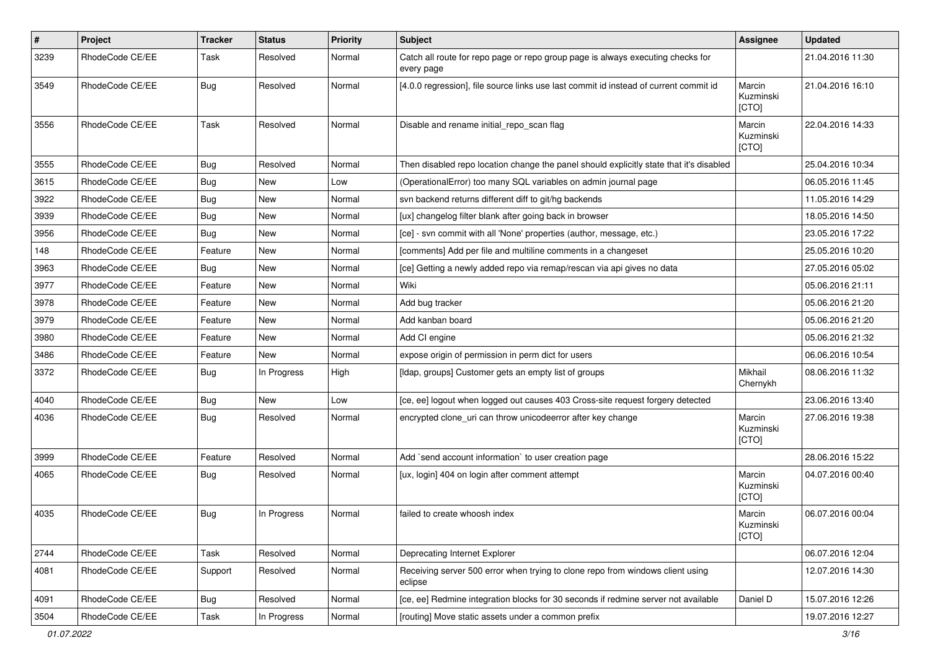| #    | Project         | <b>Tracker</b> | <b>Status</b> | <b>Priority</b> | Subject                                                                                       | <b>Assignee</b>              | <b>Updated</b>   |
|------|-----------------|----------------|---------------|-----------------|-----------------------------------------------------------------------------------------------|------------------------------|------------------|
| 3239 | RhodeCode CE/EE | Task           | Resolved      | Normal          | Catch all route for repo page or repo group page is always executing checks for<br>every page |                              | 21.04.2016 11:30 |
| 3549 | RhodeCode CE/EE | Bug            | Resolved      | Normal          | [4.0.0 regression], file source links use last commit id instead of current commit id         | Marcin<br>Kuzminski<br>[CTO] | 21.04.2016 16:10 |
| 3556 | RhodeCode CE/EE | Task           | Resolved      | Normal          | Disable and rename initial repo scan flag                                                     | Marcin<br>Kuzminski<br>[CTO] | 22.04.2016 14:33 |
| 3555 | RhodeCode CE/EE | Bug            | Resolved      | Normal          | Then disabled repo location change the panel should explicitly state that it's disabled       |                              | 25.04.2016 10:34 |
| 3615 | RhodeCode CE/EE | Bug            | New           | Low             | (OperationalError) too many SQL variables on admin journal page                               |                              | 06.05.2016 11:45 |
| 3922 | RhodeCode CE/EE | Bug            | New           | Normal          | svn backend returns different diff to git/hg backends                                         |                              | 11.05.2016 14:29 |
| 3939 | RhodeCode CE/EE | Bug            | New           | Normal          | [ux] changelog filter blank after going back in browser                                       |                              | 18.05.2016 14:50 |
| 3956 | RhodeCode CE/EE | Bug            | <b>New</b>    | Normal          | [ce] - svn commit with all 'None' properties (author, message, etc.)                          |                              | 23.05.2016 17:22 |
| 148  | RhodeCode CE/EE | Feature        | New           | Normal          | [comments] Add per file and multiline comments in a changeset                                 |                              | 25.05.2016 10:20 |
| 3963 | RhodeCode CE/EE | Bug            | New           | Normal          | [ce] Getting a newly added repo via remap/rescan via api gives no data                        |                              | 27.05.2016 05:02 |
| 3977 | RhodeCode CE/EE | Feature        | <b>New</b>    | Normal          | Wiki                                                                                          |                              | 05.06.2016 21:11 |
| 3978 | RhodeCode CE/EE | Feature        | New           | Normal          | Add bug tracker                                                                               |                              | 05.06.2016 21:20 |
| 3979 | RhodeCode CE/EE | Feature        | <b>New</b>    | Normal          | Add kanban board                                                                              |                              | 05.06.2016 21:20 |
| 3980 | RhodeCode CE/EE | Feature        | New           | Normal          | Add CI engine                                                                                 |                              | 05.06.2016 21:32 |
| 3486 | RhodeCode CE/EE | Feature        | <b>New</b>    | Normal          | expose origin of permission in perm dict for users                                            |                              | 06.06.2016 10:54 |
| 3372 | RhodeCode CE/EE | Bug            | In Progress   | High            | [Idap, groups] Customer gets an empty list of groups                                          | Mikhail<br>Chernykh          | 08.06.2016 11:32 |
| 4040 | RhodeCode CE/EE | Bug            | New           | Low             | [ce, ee] logout when logged out causes 403 Cross-site request forgery detected                |                              | 23.06.2016 13:40 |
| 4036 | RhodeCode CE/EE | Bug            | Resolved      | Normal          | encrypted clone_uri can throw unicodeerror after key change                                   | Marcin<br>Kuzminski<br>[CTO] | 27.06.2016 19:38 |
| 3999 | RhodeCode CE/EE | Feature        | Resolved      | Normal          | Add `send account information` to user creation page                                          |                              | 28.06.2016 15:22 |
| 4065 | RhodeCode CE/EE | Bug            | Resolved      | Normal          | [ux, login] 404 on login after comment attempt                                                | Marcin<br>Kuzminski<br>[CTO] | 04.07.2016 00:40 |
| 4035 | RhodeCode CE/EE | Bug            | In Progress   | Normal          | failed to create whoosh index                                                                 | Marcin<br>Kuzminski<br>[CTO] | 06.07.2016 00:04 |
| 2744 | RhodeCode CE/EE | Task           | Resolved      | Normal          | Deprecating Internet Explorer                                                                 |                              | 06.07.2016 12:04 |
| 4081 | RhodeCode CE/EE | Support        | Resolved      | Normal          | Receiving server 500 error when trying to clone repo from windows client using<br>eclipse     |                              | 12.07.2016 14:30 |
| 4091 | RhodeCode CE/EE | Bug            | Resolved      | Normal          | [ce, ee] Redmine integration blocks for 30 seconds if redmine server not available            | Daniel D                     | 15.07.2016 12:26 |
| 3504 | RhodeCode CE/EE | Task           | In Progress   | Normal          | [routing] Move static assets under a common prefix                                            |                              | 19.07.2016 12:27 |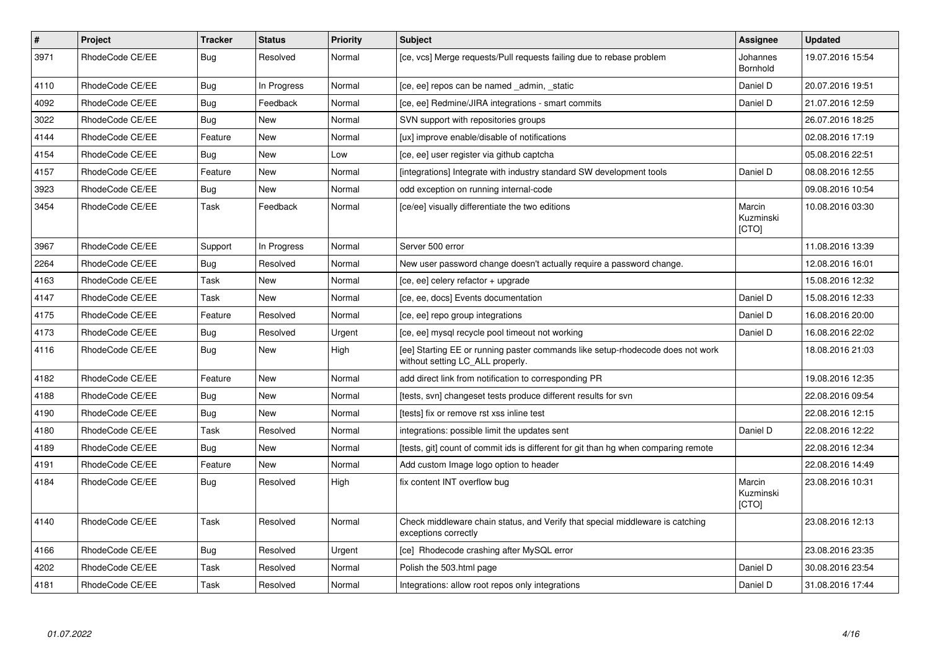| $\sharp$ | Project         | <b>Tracker</b> | <b>Status</b> | <b>Priority</b> | <b>Subject</b>                                                                                                     | Assignee                     | <b>Updated</b>   |
|----------|-----------------|----------------|---------------|-----------------|--------------------------------------------------------------------------------------------------------------------|------------------------------|------------------|
| 3971     | RhodeCode CE/EE | Bug            | Resolved      | Normal          | [ce, vcs] Merge requests/Pull requests failing due to rebase problem                                               | Johannes<br>Bornhold         | 19.07.2016 15:54 |
| 4110     | RhodeCode CE/EE | Bug            | In Progress   | Normal          | [ce, ee] repos can be named admin, static                                                                          | Daniel D                     | 20.07.2016 19:51 |
| 4092     | RhodeCode CE/EE | Bug            | Feedback      | Normal          | [ce, ee] Redmine/JIRA integrations - smart commits                                                                 | Daniel D                     | 21.07.2016 12:59 |
| 3022     | RhodeCode CE/EE | Bug            | <b>New</b>    | Normal          | SVN support with repositories groups                                                                               |                              | 26.07.2016 18:25 |
| 4144     | RhodeCode CE/EE | Feature        | New           | Normal          | [ux] improve enable/disable of notifications                                                                       |                              | 02.08.2016 17:19 |
| 4154     | RhodeCode CE/EE | Bug            | New           | Low             | [ce, ee] user register via github captcha                                                                          |                              | 05.08.2016 22:51 |
| 4157     | RhodeCode CE/EE | Feature        | New           | Normal          | [integrations] Integrate with industry standard SW development tools                                               | Daniel D                     | 08.08.2016 12:55 |
| 3923     | RhodeCode CE/EE | Bug            | <b>New</b>    | Normal          | odd exception on running internal-code                                                                             |                              | 09.08.2016 10:54 |
| 3454     | RhodeCode CE/EE | Task           | Feedback      | Normal          | [ce/ee] visually differentiate the two editions                                                                    | Marcin<br>Kuzminski<br>[CTO] | 10.08.2016 03:30 |
| 3967     | RhodeCode CE/EE | Support        | In Progress   | Normal          | Server 500 error                                                                                                   |                              | 11.08.2016 13:39 |
| 2264     | RhodeCode CE/EE | Bug            | Resolved      | Normal          | New user password change doesn't actually require a password change.                                               |                              | 12.08.2016 16:01 |
| 4163     | RhodeCode CE/EE | Task           | New           | Normal          | [ce, ee] celery refactor + upgrade                                                                                 |                              | 15.08.2016 12:32 |
| 4147     | RhodeCode CE/EE | Task           | New           | Normal          | [ce, ee, docs] Events documentation                                                                                | Daniel D                     | 15.08.2016 12:33 |
| 4175     | RhodeCode CE/EE | Feature        | Resolved      | Normal          | [ce, ee] repo group integrations                                                                                   | Daniel D                     | 16.08.2016 20:00 |
| 4173     | RhodeCode CE/EE | Bug            | Resolved      | Urgent          | [ce, ee] mysql recycle pool timeout not working                                                                    | Daniel D                     | 16.08.2016 22:02 |
| 4116     | RhodeCode CE/EE | Bug            | <b>New</b>    | High            | [ee] Starting EE or running paster commands like setup-rhodecode does not work<br>without setting LC_ALL properly. |                              | 18.08.2016 21:03 |
| 4182     | RhodeCode CE/EE | Feature        | <b>New</b>    | Normal          | add direct link from notification to corresponding PR                                                              |                              | 19.08.2016 12:35 |
| 4188     | RhodeCode CE/EE | Bug            | New           | Normal          | [tests, svn] changeset tests produce different results for svn                                                     |                              | 22.08.2016 09:54 |
| 4190     | RhodeCode CE/EE | Bug            | New           | Normal          | [tests] fix or remove rst xss inline test                                                                          |                              | 22.08.2016 12:15 |
| 4180     | RhodeCode CE/EE | Task           | Resolved      | Normal          | integrations: possible limit the updates sent                                                                      | Daniel D                     | 22.08.2016 12:22 |
| 4189     | RhodeCode CE/EE | Bug            | <b>New</b>    | Normal          | [tests, git] count of commit ids is different for git than hg when comparing remote                                |                              | 22.08.2016 12:34 |
| 4191     | RhodeCode CE/EE | Feature        | <b>New</b>    | Normal          | Add custom Image logo option to header                                                                             |                              | 22.08.2016 14:49 |
| 4184     | RhodeCode CE/EE | Bug            | Resolved      | High            | fix content INT overflow bug                                                                                       | Marcin<br>Kuzminski<br>[CTO] | 23.08.2016 10:31 |
| 4140     | RhodeCode CE/EE | Task           | Resolved      | Normal          | Check middleware chain status, and Verify that special middleware is catching<br>exceptions correctly              |                              | 23.08.2016 12:13 |
| 4166     | RhodeCode CE/EE | <b>Bug</b>     | Resolved      | Urgent          | [ce] Rhodecode crashing after MySQL error                                                                          |                              | 23.08.2016 23:35 |
| 4202     | RhodeCode CE/EE | Task           | Resolved      | Normal          | Polish the 503.html page                                                                                           | Daniel D                     | 30.08.2016 23:54 |
| 4181     | RhodeCode CE/EE | Task           | Resolved      | Normal          | Integrations: allow root repos only integrations                                                                   | Daniel D                     | 31.08.2016 17:44 |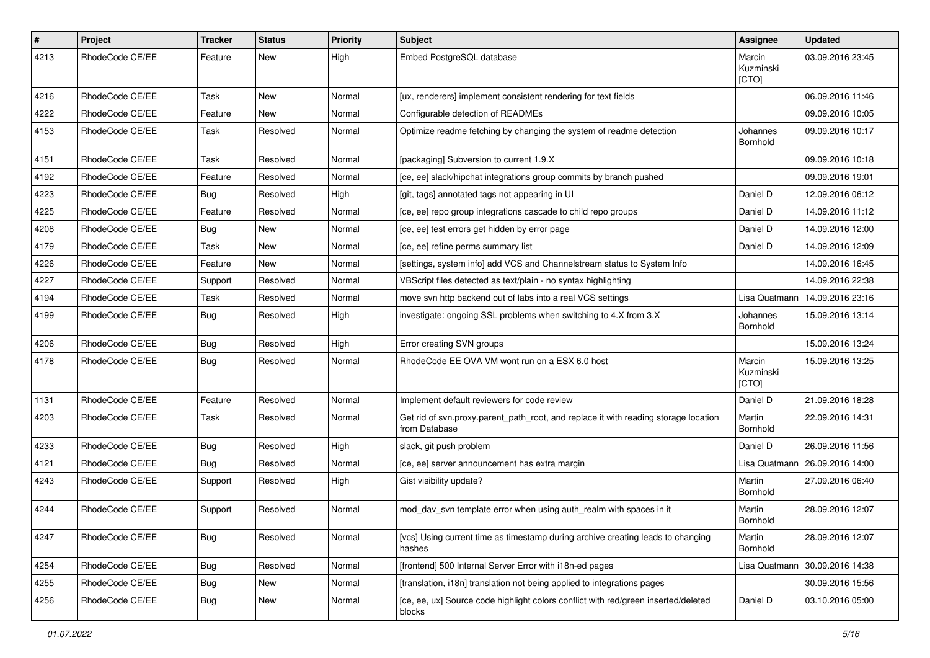| $\pmb{\#}$ | Project         | <b>Tracker</b> | <b>Status</b> | <b>Priority</b> | <b>Subject</b>                                                                                       | <b>Assignee</b>              | <b>Updated</b>   |
|------------|-----------------|----------------|---------------|-----------------|------------------------------------------------------------------------------------------------------|------------------------------|------------------|
| 4213       | RhodeCode CE/EE | Feature        | New           | High            | Embed PostgreSQL database                                                                            | Marcin<br>Kuzminski<br>[CTO] | 03.09.2016 23:45 |
| 4216       | RhodeCode CE/EE | Task           | New           | Normal          | [ux, renderers] implement consistent rendering for text fields                                       |                              | 06.09.2016 11:46 |
| 4222       | RhodeCode CE/EE | Feature        | <b>New</b>    | Normal          | Configurable detection of READMEs                                                                    |                              | 09.09.2016 10:05 |
| 4153       | RhodeCode CE/EE | Task           | Resolved      | Normal          | Optimize readme fetching by changing the system of readme detection                                  | Johannes<br>Bornhold         | 09.09.2016 10:17 |
| 4151       | RhodeCode CE/EE | Task           | Resolved      | Normal          | [packaging] Subversion to current 1.9.X                                                              |                              | 09.09.2016 10:18 |
| 4192       | RhodeCode CE/EE | Feature        | Resolved      | Normal          | [ce, ee] slack/hipchat integrations group commits by branch pushed                                   |                              | 09.09.2016 19:01 |
| 4223       | RhodeCode CE/EE | Bug            | Resolved      | High            | [git, tags] annotated tags not appearing in UI                                                       | Daniel D                     | 12.09.2016 06:12 |
| 4225       | RhodeCode CE/EE | Feature        | Resolved      | Normal          | [ce, ee] repo group integrations cascade to child repo groups                                        | Daniel D                     | 14.09.2016 11:12 |
| 4208       | RhodeCode CE/EE | Bug            | New           | Normal          | [ce, ee] test errors get hidden by error page                                                        | Daniel D                     | 14.09.2016 12:00 |
| 4179       | RhodeCode CE/EE | Task           | <b>New</b>    | Normal          | [ce, ee] refine perms summary list                                                                   | Daniel D                     | 14.09.2016 12:09 |
| 4226       | RhodeCode CE/EE | Feature        | <b>New</b>    | Normal          | [settings, system info] add VCS and Channelstream status to System Info                              |                              | 14.09.2016 16:45 |
| 4227       | RhodeCode CE/EE | Support        | Resolved      | Normal          | VBScript files detected as text/plain - no syntax highlighting                                       |                              | 14.09.2016 22:38 |
| 4194       | RhodeCode CE/EE | Task           | Resolved      | Normal          | move svn http backend out of labs into a real VCS settings                                           | Lisa Quatmann                | 14.09.2016 23:16 |
| 4199       | RhodeCode CE/EE | Bug            | Resolved      | High            | investigate: ongoing SSL problems when switching to 4.X from 3.X                                     | Johannes<br>Bornhold         | 15.09.2016 13:14 |
| 4206       | RhodeCode CE/EE | Bug            | Resolved      | High            | Error creating SVN groups                                                                            |                              | 15.09.2016 13:24 |
| 4178       | RhodeCode CE/EE | Bug            | Resolved      | Normal          | RhodeCode EE OVA VM wont run on a ESX 6.0 host                                                       | Marcin<br>Kuzminski<br>[CTO] | 15.09.2016 13:25 |
| 1131       | RhodeCode CE/EE | Feature        | Resolved      | Normal          | Implement default reviewers for code review                                                          | Daniel D                     | 21.09.2016 18:28 |
| 4203       | RhodeCode CE/EE | Task           | Resolved      | Normal          | Get rid of svn.proxy.parent_path_root, and replace it with reading storage location<br>from Database | Martin<br>Bornhold           | 22.09.2016 14:31 |
| 4233       | RhodeCode CE/EE | Bug            | Resolved      | High            | slack, git push problem                                                                              | Daniel D                     | 26.09.2016 11:56 |
| 4121       | RhodeCode CE/EE | Bug            | Resolved      | Normal          | [ce, ee] server announcement has extra margin                                                        | Lisa Quatmann                | 26.09.2016 14:00 |
| 4243       | RhodeCode CE/EE | Support        | Resolved      | High            | Gist visibility update?                                                                              | Martin<br>Bornhold           | 27.09.2016 06:40 |
| 4244       | RhodeCode CE/EE | Support        | Resolved      | Normal          | mod day syn template error when using auth realm with spaces in it                                   | Martin<br>Bornhold           | 28.09.2016 12:07 |
| 4247       | RhodeCode CE/EE | <b>Bug</b>     | Resolved      | Normal          | [vcs] Using current time as timestamp during archive creating leads to changing<br>hashes            | Martin<br>Bornhold           | 28.09.2016 12:07 |
| 4254       | RhodeCode CE/EE | Bug            | Resolved      | Normal          | [frontend] 500 Internal Server Error with i18n-ed pages                                              | Lisa Quatmann                | 30.09.2016 14:38 |
| 4255       | RhodeCode CE/EE | <b>Bug</b>     | New           | Normal          | [translation, i18n] translation not being applied to integrations pages                              |                              | 30.09.2016 15:56 |
| 4256       | RhodeCode CE/EE | <b>Bug</b>     | New           | Normal          | [ce, ee, ux] Source code highlight colors conflict with red/green inserted/deleted<br>blocks         | Daniel D                     | 03.10.2016 05:00 |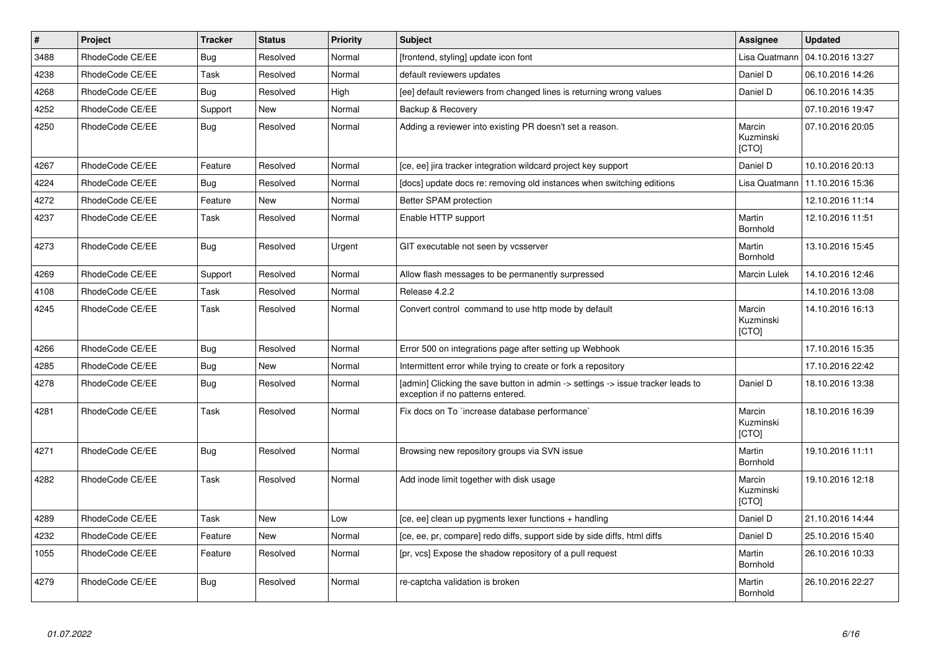| $\vert$ # | <b>Project</b>  | <b>Tracker</b> | <b>Status</b> | <b>Priority</b> | <b>Subject</b>                                                                                                       | Assignee                     | <b>Updated</b>   |
|-----------|-----------------|----------------|---------------|-----------------|----------------------------------------------------------------------------------------------------------------------|------------------------------|------------------|
| 3488      | RhodeCode CE/EE | Bug            | Resolved      | Normal          | [frontend, styling] update icon font                                                                                 | Lisa Quatmann                | 04.10.2016 13:27 |
| 4238      | RhodeCode CE/EE | Task           | Resolved      | Normal          | default reviewers updates                                                                                            | Daniel D                     | 06.10.2016 14:26 |
| 4268      | RhodeCode CE/EE | <b>Bug</b>     | Resolved      | High            | [ee] default reviewers from changed lines is returning wrong values                                                  | Daniel D                     | 06.10.2016 14:35 |
| 4252      | RhodeCode CE/EE | Support        | <b>New</b>    | Normal          | Backup & Recovery                                                                                                    |                              | 07.10.2016 19:47 |
| 4250      | RhodeCode CE/EE | <b>Bug</b>     | Resolved      | Normal          | Adding a reviewer into existing PR doesn't set a reason.                                                             | Marcin<br>Kuzminski<br>[CTO] | 07.10.2016 20:05 |
| 4267      | RhodeCode CE/EE | Feature        | Resolved      | Normal          | [ce, ee] jira tracker integration wildcard project key support                                                       | Daniel D                     | 10.10.2016 20:13 |
| 4224      | RhodeCode CE/EE | <b>Bug</b>     | Resolved      | Normal          | [docs] update docs re: removing old instances when switching editions                                                | Lisa Quatmann                | 11.10.2016 15:36 |
| 4272      | RhodeCode CE/EE | Feature        | <b>New</b>    | Normal          | Better SPAM protection                                                                                               |                              | 12.10.2016 11:14 |
| 4237      | RhodeCode CE/EE | Task           | Resolved      | Normal          | Enable HTTP support                                                                                                  | Martin<br>Bornhold           | 12.10.2016 11:51 |
| 4273      | RhodeCode CE/EE | <b>Bug</b>     | Resolved      | Urgent          | GIT executable not seen by vcsserver                                                                                 | Martin<br>Bornhold           | 13.10.2016 15:45 |
| 4269      | RhodeCode CE/EE | Support        | Resolved      | Normal          | Allow flash messages to be permanently surpressed                                                                    | <b>Marcin Lulek</b>          | 14.10.2016 12:46 |
| 4108      | RhodeCode CE/EE | Task           | Resolved      | Normal          | Release 4.2.2                                                                                                        |                              | 14.10.2016 13:08 |
| 4245      | RhodeCode CE/EE | Task           | Resolved      | Normal          | Convert control command to use http mode by default                                                                  | Marcin<br>Kuzminski<br>[CTO] | 14.10.2016 16:13 |
| 4266      | RhodeCode CE/EE | Bug            | Resolved      | Normal          | Error 500 on integrations page after setting up Webhook                                                              |                              | 17.10.2016 15:35 |
| 4285      | RhodeCode CE/EE | Bug            | New           | Normal          | Intermittent error while trying to create or fork a repository                                                       |                              | 17.10.2016 22:42 |
| 4278      | RhodeCode CE/EE | <b>Bug</b>     | Resolved      | Normal          | [admin] Clicking the save button in admin -> settings -> issue tracker leads to<br>exception if no patterns entered. | Daniel D                     | 18.10.2016 13:38 |
| 4281      | RhodeCode CE/EE | Task           | Resolved      | Normal          | Fix docs on To `increase database performance`                                                                       | Marcin<br>Kuzminski<br>[CTO] | 18.10.2016 16:39 |
| 4271      | RhodeCode CE/EE | Bug            | Resolved      | Normal          | Browsing new repository groups via SVN issue                                                                         | Martin<br>Bornhold           | 19.10.2016 11:11 |
| 4282      | RhodeCode CE/EE | Task           | Resolved      | Normal          | Add inode limit together with disk usage                                                                             | Marcin<br>Kuzminski<br>[CTO] | 19.10.2016 12:18 |
| 4289      | RhodeCode CE/EE | Task           | <b>New</b>    | Low             | [ce, ee] clean up pygments lexer functions + handling                                                                | Daniel D                     | 21.10.2016 14:44 |
| 4232      | RhodeCode CE/EE | Feature        | <b>New</b>    | Normal          | [ce, ee, pr, compare] redo diffs, support side by side diffs, html diffs                                             | Daniel D                     | 25.10.2016 15:40 |
| 1055      | RhodeCode CE/EE | Feature        | Resolved      | Normal          | [pr, vcs] Expose the shadow repository of a pull request                                                             | Martin<br>Bornhold           | 26.10.2016 10:33 |
| 4279      | RhodeCode CE/EE | <b>Bug</b>     | Resolved      | Normal          | re-captcha validation is broken                                                                                      | Martin<br>Bornhold           | 26.10.2016 22:27 |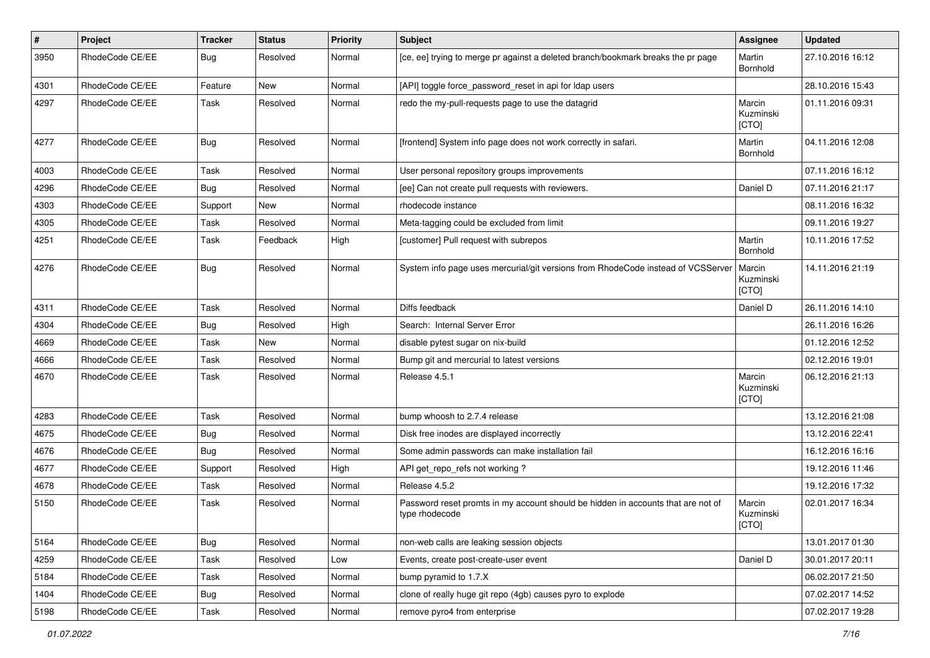| $\sharp$ | Project         | <b>Tracker</b> | <b>Status</b> | <b>Priority</b> | <b>Subject</b>                                                                                     | Assignee                     | <b>Updated</b>   |
|----------|-----------------|----------------|---------------|-----------------|----------------------------------------------------------------------------------------------------|------------------------------|------------------|
| 3950     | RhodeCode CE/EE | Bug            | Resolved      | Normal          | [ce, ee] trying to merge pr against a deleted branch/bookmark breaks the pr page                   | Martin<br>Bornhold           | 27.10.2016 16:12 |
| 4301     | RhodeCode CE/EE | Feature        | <b>New</b>    | Normal          | [API] toggle force password reset in api for Idap users                                            |                              | 28.10.2016 15:43 |
| 4297     | RhodeCode CE/EE | Task           | Resolved      | Normal          | redo the my-pull-requests page to use the datagrid                                                 | Marcin<br>Kuzminski<br>[CTO] | 01.11.2016 09:31 |
| 4277     | RhodeCode CE/EE | Bug            | Resolved      | Normal          | [frontend] System info page does not work correctly in safari.                                     | Martin<br>Bornhold           | 04.11.2016 12:08 |
| 4003     | RhodeCode CE/EE | Task           | Resolved      | Normal          | User personal repository groups improvements                                                       |                              | 07.11.2016 16:12 |
| 4296     | RhodeCode CE/EE | Bug            | Resolved      | Normal          | [ee] Can not create pull requests with reviewers.                                                  | Daniel D                     | 07.11.2016 21:17 |
| 4303     | RhodeCode CE/EE | Support        | <b>New</b>    | Normal          | rhodecode instance                                                                                 |                              | 08.11.2016 16:32 |
| 4305     | RhodeCode CE/EE | Task           | Resolved      | Normal          | Meta-tagging could be excluded from limit                                                          |                              | 09.11.2016 19:27 |
| 4251     | RhodeCode CE/EE | Task           | Feedback      | High            | [customer] Pull request with subrepos                                                              | Martin<br>Bornhold           | 10.11.2016 17:52 |
| 4276     | RhodeCode CE/EE | Bug            | Resolved      | Normal          | System info page uses mercurial/git versions from RhodeCode instead of VCSServer                   | Marcin<br>Kuzminski<br>[CTO] | 14.11.2016 21:19 |
| 4311     | RhodeCode CE/EE | Task           | Resolved      | Normal          | Diffs feedback                                                                                     | Daniel D                     | 26.11.2016 14:10 |
| 4304     | RhodeCode CE/EE | Bug            | Resolved      | High            | Search: Internal Server Error                                                                      |                              | 26.11.2016 16:26 |
| 4669     | RhodeCode CE/EE | Task           | New           | Normal          | disable pytest sugar on nix-build                                                                  |                              | 01.12.2016 12:52 |
| 4666     | RhodeCode CE/EE | Task           | Resolved      | Normal          | Bump git and mercurial to latest versions                                                          |                              | 02.12.2016 19:01 |
| 4670     | RhodeCode CE/EE | Task           | Resolved      | Normal          | Release 4.5.1                                                                                      | Marcin<br>Kuzminski<br>[CTO] | 06.12.2016 21:13 |
| 4283     | RhodeCode CE/EE | Task           | Resolved      | Normal          | bump whoosh to 2.7.4 release                                                                       |                              | 13.12.2016 21:08 |
| 4675     | RhodeCode CE/EE | Bug            | Resolved      | Normal          | Disk free inodes are displayed incorrectly                                                         |                              | 13.12.2016 22:41 |
| 4676     | RhodeCode CE/EE | Bug            | Resolved      | Normal          | Some admin passwords can make installation fail                                                    |                              | 16.12.2016 16:16 |
| 4677     | RhodeCode CE/EE | Support        | Resolved      | High            | API get_repo_refs not working?                                                                     |                              | 19.12.2016 11:46 |
| 4678     | RhodeCode CE/EE | Task           | Resolved      | Normal          | Release 4.5.2                                                                                      |                              | 19.12.2016 17:32 |
| 5150     | RhodeCode CE/EE | Task           | Resolved      | Normal          | Password reset promts in my account should be hidden in accounts that are not of<br>type rhodecode | Marcin<br>Kuzminski<br>[CTO] | 02.01.2017 16:34 |
| 5164     | RhodeCode CE/EE | <b>Bug</b>     | Resolved      | Normal          | non-web calls are leaking session objects                                                          |                              | 13.01.2017 01:30 |
| 4259     | RhodeCode CE/EE | Task           | Resolved      | Low             | Events, create post-create-user event                                                              | Daniel D                     | 30.01.2017 20:11 |
| 5184     | RhodeCode CE/EE | Task           | Resolved      | Normal          | bump pyramid to 1.7.X                                                                              |                              | 06.02.2017 21:50 |
| 1404     | RhodeCode CE/EE | <b>Bug</b>     | Resolved      | Normal          | clone of really huge git repo (4gb) causes pyro to explode                                         |                              | 07.02.2017 14:52 |
| 5198     | RhodeCode CE/EE | Task           | Resolved      | Normal          | remove pyro4 from enterprise                                                                       |                              | 07.02.2017 19:28 |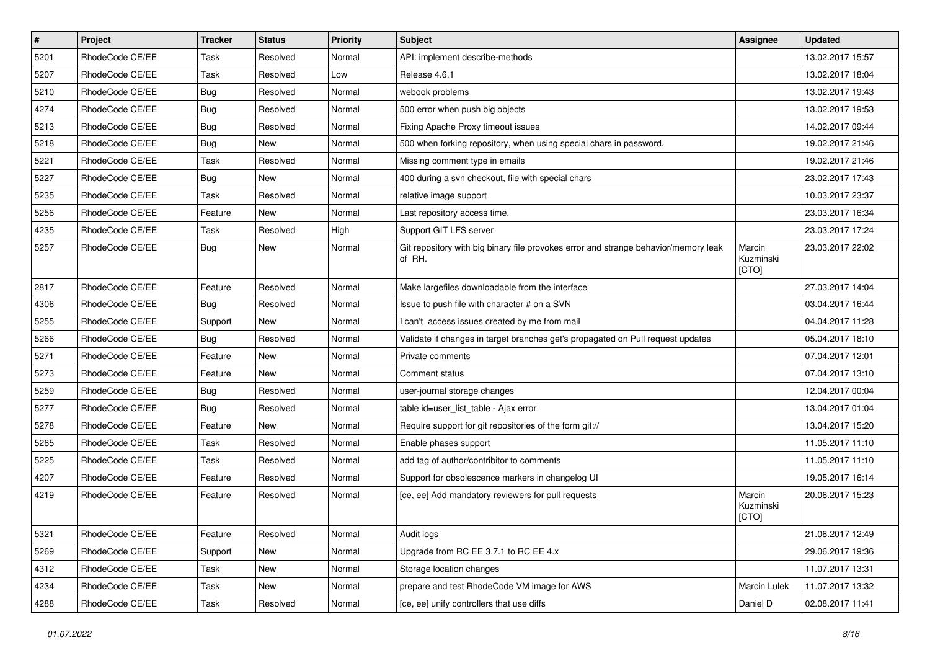| $\vert$ # | Project         | <b>Tracker</b> | <b>Status</b> | <b>Priority</b> | <b>Subject</b>                                                                                | Assignee                     | <b>Updated</b>   |
|-----------|-----------------|----------------|---------------|-----------------|-----------------------------------------------------------------------------------------------|------------------------------|------------------|
| 5201      | RhodeCode CE/EE | Task           | Resolved      | Normal          | API: implement describe-methods                                                               |                              | 13.02.2017 15:57 |
| 5207      | RhodeCode CE/EE | Task           | Resolved      | Low             | Release 4.6.1                                                                                 |                              | 13.02.2017 18:04 |
| 5210      | RhodeCode CE/EE | Bug            | Resolved      | Normal          | webook problems                                                                               |                              | 13.02.2017 19:43 |
| 4274      | RhodeCode CE/EE | Bug            | Resolved      | Normal          | 500 error when push big objects                                                               |                              | 13.02.2017 19:53 |
| 5213      | RhodeCode CE/EE | Bug            | Resolved      | Normal          | Fixing Apache Proxy timeout issues                                                            |                              | 14.02.2017 09:44 |
| 5218      | RhodeCode CE/EE | Bug            | New           | Normal          | 500 when forking repository, when using special chars in password.                            |                              | 19.02.2017 21:46 |
| 5221      | RhodeCode CE/EE | Task           | Resolved      | Normal          | Missing comment type in emails                                                                |                              | 19.02.2017 21:46 |
| 5227      | RhodeCode CE/EE | <b>Bug</b>     | <b>New</b>    | Normal          | 400 during a svn checkout, file with special chars                                            |                              | 23.02.2017 17:43 |
| 5235      | RhodeCode CE/EE | Task           | Resolved      | Normal          | relative image support                                                                        |                              | 10.03.2017 23:37 |
| 5256      | RhodeCode CE/EE | Feature        | <b>New</b>    | Normal          | Last repository access time.                                                                  |                              | 23.03.2017 16:34 |
| 4235      | RhodeCode CE/EE | Task           | Resolved      | High            | Support GIT LFS server                                                                        |                              | 23.03.2017 17:24 |
| 5257      | RhodeCode CE/EE | Bug            | New           | Normal          | Git repository with big binary file provokes error and strange behavior/memory leak<br>of RH. | Marcin<br>Kuzminski<br>[CTO] | 23.03.2017 22:02 |
| 2817      | RhodeCode CE/EE | Feature        | Resolved      | Normal          | Make largefiles downloadable from the interface                                               |                              | 27.03.2017 14:04 |
| 4306      | RhodeCode CE/EE | Bug            | Resolved      | Normal          | Issue to push file with character # on a SVN                                                  |                              | 03.04.2017 16:44 |
| 5255      | RhodeCode CE/EE | Support        | <b>New</b>    | Normal          | I can't access issues created by me from mail                                                 |                              | 04.04.2017 11:28 |
| 5266      | RhodeCode CE/EE | Bug            | Resolved      | Normal          | Validate if changes in target branches get's propagated on Pull request updates               |                              | 05.04.2017 18:10 |
| 5271      | RhodeCode CE/EE | Feature        | New           | Normal          | Private comments                                                                              |                              | 07.04.2017 12:01 |
| 5273      | RhodeCode CE/EE | Feature        | New           | Normal          | Comment status                                                                                |                              | 07.04.2017 13:10 |
| 5259      | RhodeCode CE/EE | Bug            | Resolved      | Normal          | user-journal storage changes                                                                  |                              | 12.04.2017 00:04 |
| 5277      | RhodeCode CE/EE | Bug            | Resolved      | Normal          | table id=user_list_table - Ajax error                                                         |                              | 13.04.2017 01:04 |
| 5278      | RhodeCode CE/EE | Feature        | New           | Normal          | Require support for git repositories of the form git://                                       |                              | 13.04.2017 15:20 |
| 5265      | RhodeCode CE/EE | Task           | Resolved      | Normal          | Enable phases support                                                                         |                              | 11.05.2017 11:10 |
| 5225      | RhodeCode CE/EE | Task           | Resolved      | Normal          | add tag of author/contribitor to comments                                                     |                              | 11.05.2017 11:10 |
| 4207      | RhodeCode CE/EE | Feature        | Resolved      | Normal          | Support for obsolescence markers in changelog UI                                              |                              | 19.05.2017 16:14 |
| 4219      | RhodeCode CE/EE | Feature        | Resolved      | Normal          | [ce, ee] Add mandatory reviewers for pull requests                                            | Marcin<br>Kuzminski<br>[CTO] | 20.06.2017 15:23 |
| 5321      | RhodeCode CE/EE | Feature        | Resolved      | Normal          | Audit logs                                                                                    |                              | 21.06.2017 12:49 |
| 5269      | RhodeCode CE/EE | Support        | <b>New</b>    | Normal          | Upgrade from RC EE 3.7.1 to RC EE 4.x                                                         |                              | 29.06.2017 19:36 |
| 4312      | RhodeCode CE/EE | Task           | New           | Normal          | Storage location changes                                                                      |                              | 11.07.2017 13:31 |
| 4234      | RhodeCode CE/EE | Task           | New           | Normal          | prepare and test RhodeCode VM image for AWS                                                   | Marcin Lulek                 | 11.07.2017 13:32 |
| 4288      | RhodeCode CE/EE | Task           | Resolved      | Normal          | [ce, ee] unify controllers that use diffs                                                     | Daniel D                     | 02.08.2017 11:41 |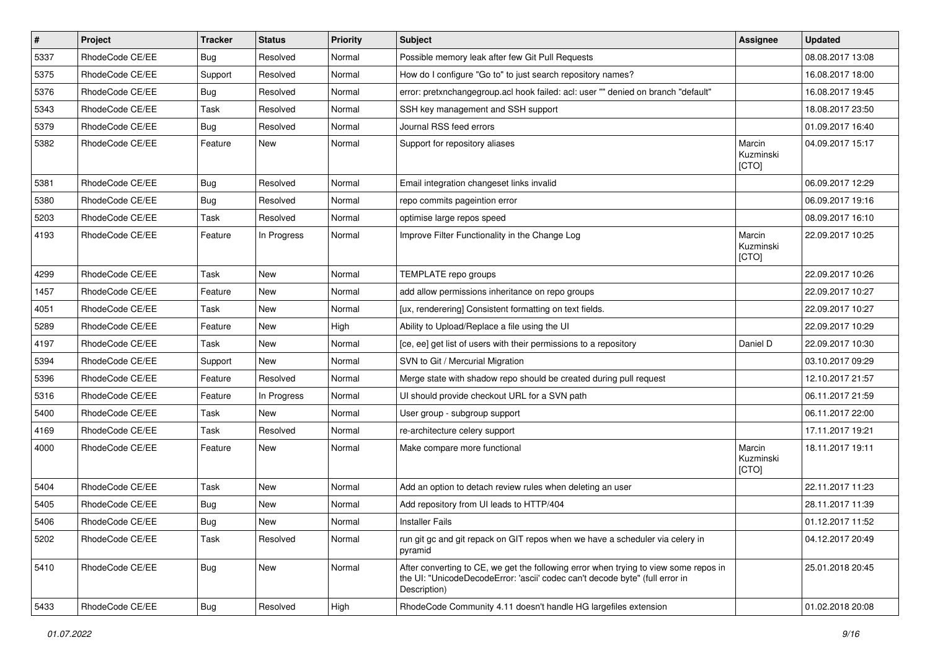| $\pmb{\#}$ | Project         | <b>Tracker</b> | <b>Status</b> | <b>Priority</b> | Subject                                                                                                                                                                              | <b>Assignee</b>              | <b>Updated</b>   |
|------------|-----------------|----------------|---------------|-----------------|--------------------------------------------------------------------------------------------------------------------------------------------------------------------------------------|------------------------------|------------------|
| 5337       | RhodeCode CE/EE | Bug            | Resolved      | Normal          | Possible memory leak after few Git Pull Requests                                                                                                                                     |                              | 08.08.2017 13:08 |
| 5375       | RhodeCode CE/EE | Support        | Resolved      | Normal          | How do I configure "Go to" to just search repository names?                                                                                                                          |                              | 16.08.2017 18:00 |
| 5376       | RhodeCode CE/EE | Bug            | Resolved      | Normal          | error: pretxnchangegroup.acl hook failed: acl: user "" denied on branch "default"                                                                                                    |                              | 16.08.2017 19:45 |
| 5343       | RhodeCode CE/EE | Task           | Resolved      | Normal          | SSH key management and SSH support                                                                                                                                                   |                              | 18.08.2017 23:50 |
| 5379       | RhodeCode CE/EE | Bug            | Resolved      | Normal          | Journal RSS feed errors                                                                                                                                                              |                              | 01.09.2017 16:40 |
| 5382       | RhodeCode CE/EE | Feature        | New           | Normal          | Support for repository aliases                                                                                                                                                       | Marcin<br>Kuzminski<br>[CTO] | 04.09.2017 15:17 |
| 5381       | RhodeCode CE/EE | Bug            | Resolved      | Normal          | Email integration changeset links invalid                                                                                                                                            |                              | 06.09.2017 12:29 |
| 5380       | RhodeCode CE/EE | Bug            | Resolved      | Normal          | repo commits pageintion error                                                                                                                                                        |                              | 06.09.2017 19:16 |
| 5203       | RhodeCode CE/EE | Task           | Resolved      | Normal          | optimise large repos speed                                                                                                                                                           |                              | 08.09.2017 16:10 |
| 4193       | RhodeCode CE/EE | Feature        | In Progress   | Normal          | Improve Filter Functionality in the Change Log                                                                                                                                       | Marcin<br>Kuzminski<br>[CTO] | 22.09.2017 10:25 |
| 4299       | RhodeCode CE/EE | Task           | <b>New</b>    | Normal          | TEMPLATE repo groups                                                                                                                                                                 |                              | 22.09.2017 10:26 |
| 1457       | RhodeCode CE/EE | Feature        | <b>New</b>    | Normal          | add allow permissions inheritance on repo groups                                                                                                                                     |                              | 22.09.2017 10:27 |
| 4051       | RhodeCode CE/EE | Task           | New           | Normal          | [ux, renderering] Consistent formatting on text fields.                                                                                                                              |                              | 22.09.2017 10:27 |
| 5289       | RhodeCode CE/EE | Feature        | <b>New</b>    | High            | Ability to Upload/Replace a file using the UI                                                                                                                                        |                              | 22.09.2017 10:29 |
| 4197       | RhodeCode CE/EE | Task           | New           | Normal          | [ce, ee] get list of users with their permissions to a repository                                                                                                                    | Daniel D                     | 22.09.2017 10:30 |
| 5394       | RhodeCode CE/EE | Support        | <b>New</b>    | Normal          | SVN to Git / Mercurial Migration                                                                                                                                                     |                              | 03.10.2017 09:29 |
| 5396       | RhodeCode CE/EE | Feature        | Resolved      | Normal          | Merge state with shadow repo should be created during pull request                                                                                                                   |                              | 12.10.2017 21:57 |
| 5316       | RhodeCode CE/EE | Feature        | In Progress   | Normal          | UI should provide checkout URL for a SVN path                                                                                                                                        |                              | 06.11.2017 21:59 |
| 5400       | RhodeCode CE/EE | Task           | <b>New</b>    | Normal          | User group - subgroup support                                                                                                                                                        |                              | 06.11.2017 22:00 |
| 4169       | RhodeCode CE/EE | Task           | Resolved      | Normal          | re-architecture celery support                                                                                                                                                       |                              | 17.11.2017 19:21 |
| 4000       | RhodeCode CE/EE | Feature        | New           | Normal          | Make compare more functional                                                                                                                                                         | Marcin<br>Kuzminski<br>[CTO] | 18.11.2017 19:11 |
| 5404       | RhodeCode CE/EE | Task           | <b>New</b>    | Normal          | Add an option to detach review rules when deleting an user                                                                                                                           |                              | 22.11.2017 11:23 |
| 5405       | RhodeCode CE/EE | Bug            | <b>New</b>    | Normal          | Add repository from UI leads to HTTP/404                                                                                                                                             |                              | 28.11.2017 11:39 |
| 5406       | RhodeCode CE/EE | Bug            | New           | Normal          | <b>Installer Fails</b>                                                                                                                                                               |                              | 01.12.2017 11:52 |
| 5202       | RhodeCode CE/EE | Task           | Resolved      | Normal          | run git gc and git repack on GIT repos when we have a scheduler via celery in<br>pyramid                                                                                             |                              | 04.12.2017 20:49 |
| 5410       | RhodeCode CE/EE | Bug            | New           | Normal          | After converting to CE, we get the following error when trying to view some repos in<br>the UI: "UnicodeDecodeError: 'ascii' codec can't decode byte" (full error in<br>Description) |                              | 25.01.2018 20:45 |
| 5433       | RhodeCode CE/EE | <b>Bug</b>     | Resolved      | High            | RhodeCode Community 4.11 doesn't handle HG largefiles extension                                                                                                                      |                              | 01.02.2018 20:08 |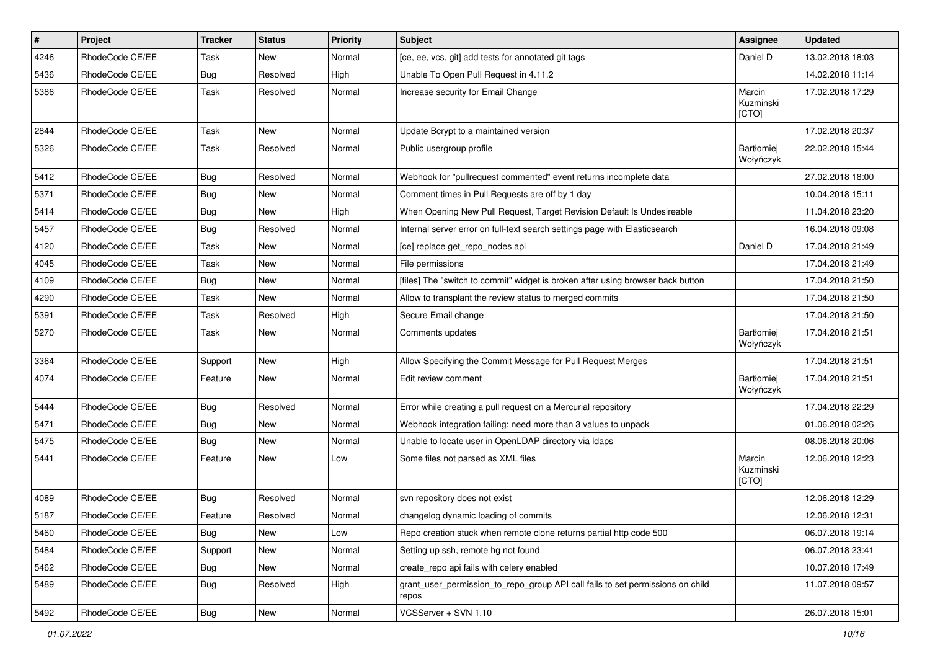| $\vert$ # | Project         | <b>Tracker</b> | <b>Status</b> | <b>Priority</b> | <b>Subject</b>                                                                          | <b>Assignee</b>                | <b>Updated</b>   |
|-----------|-----------------|----------------|---------------|-----------------|-----------------------------------------------------------------------------------------|--------------------------------|------------------|
| 4246      | RhodeCode CE/EE | Task           | New           | Normal          | [ce, ee, vcs, git] add tests for annotated git tags                                     | Daniel D                       | 13.02.2018 18:03 |
| 5436      | RhodeCode CE/EE | Bug            | Resolved      | High            | Unable To Open Pull Request in 4.11.2                                                   |                                | 14.02.2018 11:14 |
| 5386      | RhodeCode CE/EE | Task           | Resolved      | Normal          | Increase security for Email Change                                                      | Marcin<br>Kuzminski<br>[CTO]   | 17.02.2018 17:29 |
| 2844      | RhodeCode CE/EE | Task           | <b>New</b>    | Normal          | Update Bcrypt to a maintained version                                                   |                                | 17.02.2018 20:37 |
| 5326      | RhodeCode CE/EE | Task           | Resolved      | Normal          | Public usergroup profile                                                                | Bartłomiej<br>Wołyńczyk        | 22.02.2018 15:44 |
| 5412      | RhodeCode CE/EE | Bug            | Resolved      | Normal          | Webhook for "pullrequest commented" event returns incomplete data                       |                                | 27.02.2018 18:00 |
| 5371      | RhodeCode CE/EE | Bug            | <b>New</b>    | Normal          | Comment times in Pull Requests are off by 1 day                                         |                                | 10.04.2018 15:11 |
| 5414      | RhodeCode CE/EE | Bug            | New           | High            | When Opening New Pull Request, Target Revision Default Is Undesireable                  |                                | 11.04.2018 23:20 |
| 5457      | RhodeCode CE/EE | Bug            | Resolved      | Normal          | Internal server error on full-text search settings page with Elasticsearch              |                                | 16.04.2018 09:08 |
| 4120      | RhodeCode CE/EE | Task           | <b>New</b>    | Normal          | [ce] replace get_repo_nodes api                                                         | Daniel D                       | 17.04.2018 21:49 |
| 4045      | RhodeCode CE/EE | Task           | New           | Normal          | File permissions                                                                        |                                | 17.04.2018 21:49 |
| 4109      | RhodeCode CE/EE | Bug            | <b>New</b>    | Normal          | [files] The "switch to commit" widget is broken after using browser back button         |                                | 17.04.2018 21:50 |
| 4290      | RhodeCode CE/EE | Task           | New           | Normal          | Allow to transplant the review status to merged commits                                 |                                | 17.04.2018 21:50 |
| 5391      | RhodeCode CE/EE | Task           | Resolved      | High            | Secure Email change                                                                     |                                | 17.04.2018 21:50 |
| 5270      | RhodeCode CE/EE | Task           | <b>New</b>    | Normal          | Comments updates                                                                        | <b>Bartłomiej</b><br>Wołyńczyk | 17.04.2018 21:51 |
| 3364      | RhodeCode CE/EE | Support        | <b>New</b>    | High            | Allow Specifying the Commit Message for Pull Request Merges                             |                                | 17.04.2018 21:51 |
| 4074      | RhodeCode CE/EE | Feature        | <b>New</b>    | Normal          | Edit review comment                                                                     | Bartłomiej<br>Wołyńczyk        | 17.04.2018 21:51 |
| 5444      | RhodeCode CE/EE | Bug            | Resolved      | Normal          | Error while creating a pull request on a Mercurial repository                           |                                | 17.04.2018 22:29 |
| 5471      | RhodeCode CE/EE | Bug            | <b>New</b>    | Normal          | Webhook integration failing: need more than 3 values to unpack                          |                                | 01.06.2018 02:26 |
| 5475      | RhodeCode CE/EE | Bug            | <b>New</b>    | Normal          | Unable to locate user in OpenLDAP directory via Idaps                                   |                                | 08.06.2018 20:06 |
| 5441      | RhodeCode CE/EE | Feature        | <b>New</b>    | Low             | Some files not parsed as XML files                                                      | Marcin<br>Kuzminski<br>[CTO]   | 12.06.2018 12:23 |
| 4089      | RhodeCode CE/EE | Bug            | Resolved      | Normal          | svn repository does not exist                                                           |                                | 12.06.2018 12:29 |
| 5187      | RhodeCode CE/EE | Feature        | Resolved      | Normal          | changelog dynamic loading of commits                                                    |                                | 12.06.2018 12:31 |
| 5460      | RhodeCode CE/EE | <b>Bug</b>     | New           | Low             | Repo creation stuck when remote clone returns partial http code 500                     |                                | 06.07.2018 19:14 |
| 5484      | RhodeCode CE/EE | Support        | New           | Normal          | Setting up ssh, remote hg not found                                                     |                                | 06.07.2018 23:41 |
| 5462      | RhodeCode CE/EE | Bug            | New           | Normal          | create_repo api fails with celery enabled                                               |                                | 10.07.2018 17:49 |
| 5489      | RhodeCode CE/EE | <b>Bug</b>     | Resolved      | High            | grant_user_permission_to_repo_group API call fails to set permissions on child<br>repos |                                | 11.07.2018 09:57 |
| 5492      | RhodeCode CE/EE | <b>Bug</b>     | New           | Normal          | VCSServer + SVN 1.10                                                                    |                                | 26.07.2018 15:01 |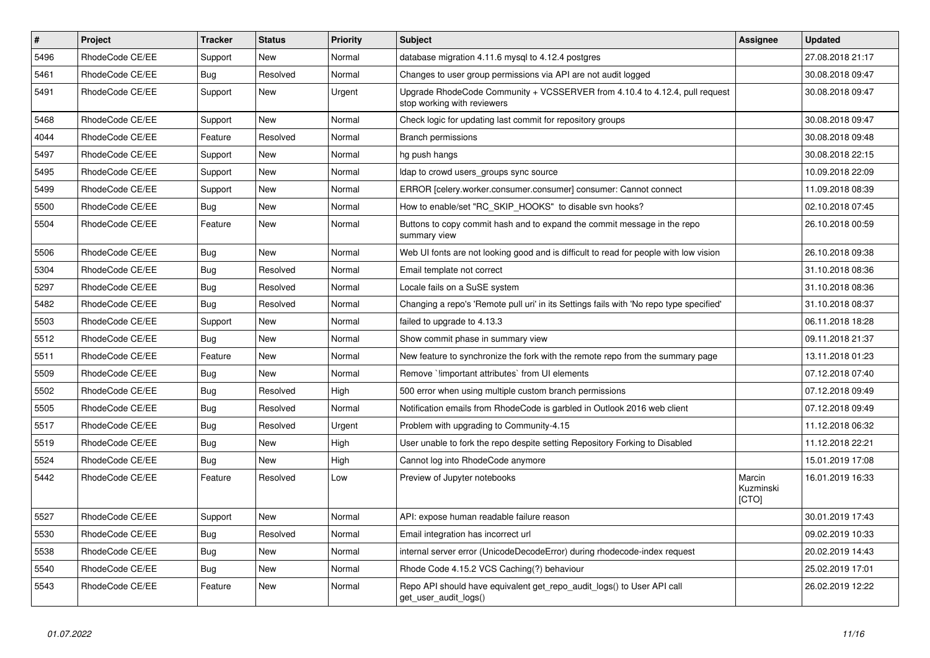| $\#$ | Project         | <b>Tracker</b> | <b>Status</b> | <b>Priority</b> | <b>Subject</b>                                                                                             | <b>Assignee</b>              | <b>Updated</b>   |
|------|-----------------|----------------|---------------|-----------------|------------------------------------------------------------------------------------------------------------|------------------------------|------------------|
| 5496 | RhodeCode CE/EE | Support        | <b>New</b>    | Normal          | database migration 4.11.6 mysql to 4.12.4 postgres                                                         |                              | 27.08.2018 21:17 |
| 5461 | RhodeCode CE/EE | Bug            | Resolved      | Normal          | Changes to user group permissions via API are not audit logged                                             |                              | 30.08.2018 09:47 |
| 5491 | RhodeCode CE/EE | Support        | <b>New</b>    | Urgent          | Upgrade RhodeCode Community + VCSSERVER from 4.10.4 to 4.12.4, pull request<br>stop working with reviewers |                              | 30.08.2018 09:47 |
| 5468 | RhodeCode CE/EE | Support        | <b>New</b>    | Normal          | Check logic for updating last commit for repository groups                                                 |                              | 30.08.2018 09:47 |
| 4044 | RhodeCode CE/EE | Feature        | Resolved      | Normal          | <b>Branch permissions</b>                                                                                  |                              | 30.08.2018 09:48 |
| 5497 | RhodeCode CE/EE | Support        | New           | Normal          | hg push hangs                                                                                              |                              | 30.08.2018 22:15 |
| 5495 | RhodeCode CE/EE | Support        | <b>New</b>    | Normal          | Idap to crowd users groups sync source                                                                     |                              | 10.09.2018 22:09 |
| 5499 | RhodeCode CE/EE | Support        | <b>New</b>    | Normal          | ERROR [celery.worker.consumer.consumer] consumer: Cannot connect                                           |                              | 11.09.2018 08:39 |
| 5500 | RhodeCode CE/EE | Bug            | New           | Normal          | How to enable/set "RC SKIP HOOKS" to disable svn hooks?                                                    |                              | 02.10.2018 07:45 |
| 5504 | RhodeCode CE/EE | Feature        | <b>New</b>    | Normal          | Buttons to copy commit hash and to expand the commit message in the repo<br>summary view                   |                              | 26.10.2018 00:59 |
| 5506 | RhodeCode CE/EE | <b>Bug</b>     | <b>New</b>    | Normal          | Web UI fonts are not looking good and is difficult to read for people with low vision                      |                              | 26.10.2018 09:38 |
| 5304 | RhodeCode CE/EE | Bug            | Resolved      | Normal          | Email template not correct                                                                                 |                              | 31.10.2018 08:36 |
| 5297 | RhodeCode CE/EE | Bug            | Resolved      | Normal          | Locale fails on a SuSE system                                                                              |                              | 31.10.2018 08:36 |
| 5482 | RhodeCode CE/EE | <b>Bug</b>     | Resolved      | Normal          | Changing a repo's 'Remote pull uri' in its Settings fails with 'No repo type specified'                    |                              | 31.10.2018 08:37 |
| 5503 | RhodeCode CE/EE | Support        | New           | Normal          | failed to upgrade to 4.13.3                                                                                |                              | 06.11.2018 18:28 |
| 5512 | RhodeCode CE/EE | Bug            | New           | Normal          | Show commit phase in summary view                                                                          |                              | 09.11.2018 21:37 |
| 5511 | RhodeCode CE/EE | Feature        | New           | Normal          | New feature to synchronize the fork with the remote repo from the summary page                             |                              | 13.11.2018 01:23 |
| 5509 | RhodeCode CE/EE | <b>Bug</b>     | New           | Normal          | Remove `!important attributes` from UI elements                                                            |                              | 07.12.2018 07:40 |
| 5502 | RhodeCode CE/EE | Bug            | Resolved      | High            | 500 error when using multiple custom branch permissions                                                    |                              | 07.12.2018 09:49 |
| 5505 | RhodeCode CE/EE | Bug            | Resolved      | Normal          | Notification emails from RhodeCode is garbled in Outlook 2016 web client                                   |                              | 07.12.2018 09:49 |
| 5517 | RhodeCode CE/EE | Bug            | Resolved      | Urgent          | Problem with upgrading to Community-4.15                                                                   |                              | 11.12.2018 06:32 |
| 5519 | RhodeCode CE/EE | Bug            | New           | High            | User unable to fork the repo despite setting Repository Forking to Disabled                                |                              | 11.12.2018 22:21 |
| 5524 | RhodeCode CE/EE | <b>Bug</b>     | New           | High            | Cannot log into RhodeCode anymore                                                                          |                              | 15.01.2019 17:08 |
| 5442 | RhodeCode CE/EE | Feature        | Resolved      | Low             | Preview of Jupyter notebooks                                                                               | Marcin<br>Kuzminski<br>[CTO] | 16.01.2019 16:33 |
| 5527 | RhodeCode CE/EE | Support        | <b>New</b>    | Normal          | API: expose human readable failure reason                                                                  |                              | 30.01.2019 17:43 |
| 5530 | RhodeCode CE/EE | Bug            | Resolved      | Normal          | Email integration has incorrect url                                                                        |                              | 09.02.2019 10:33 |
| 5538 | RhodeCode CE/EE | Bug            | New           | Normal          | internal server error (UnicodeDecodeError) during rhodecode-index request                                  |                              | 20.02.2019 14:43 |
| 5540 | RhodeCode CE/EE | Bug            | New           | Normal          | Rhode Code 4.15.2 VCS Caching(?) behaviour                                                                 |                              | 25.02.2019 17:01 |
| 5543 | RhodeCode CE/EE | Feature        | <b>New</b>    | Normal          | Repo API should have equivalent get_repo_audit_logs() to User API call<br>get user audit logs()            |                              | 26.02.2019 12:22 |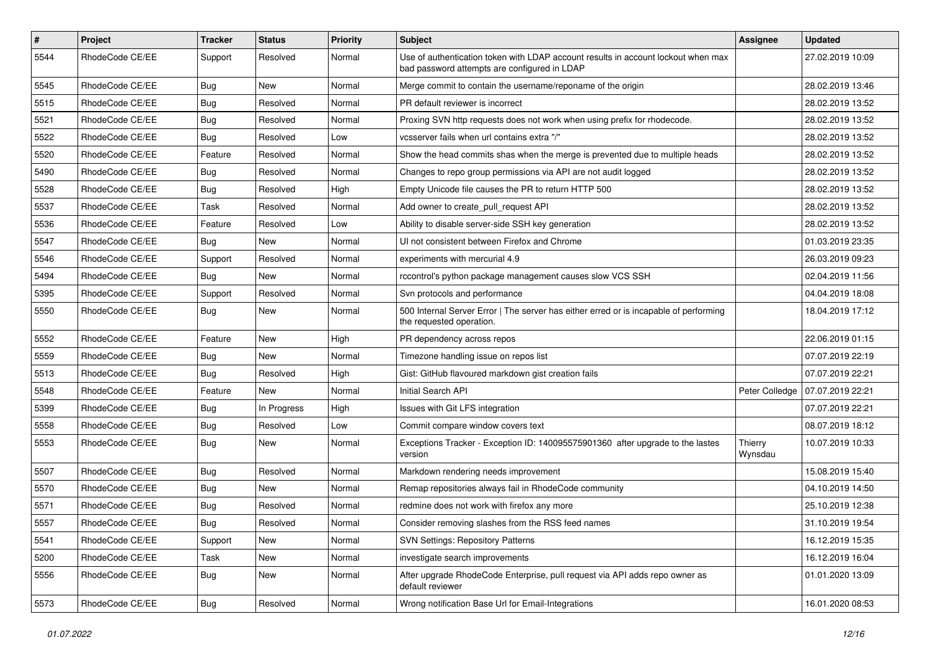| $\pmb{\#}$ | Project         | <b>Tracker</b> | <b>Status</b> | <b>Priority</b> | <b>Subject</b>                                                                                                                    | <b>Assignee</b>    | <b>Updated</b>   |
|------------|-----------------|----------------|---------------|-----------------|-----------------------------------------------------------------------------------------------------------------------------------|--------------------|------------------|
| 5544       | RhodeCode CE/EE | Support        | Resolved      | Normal          | Use of authentication token with LDAP account results in account lockout when max<br>bad password attempts are configured in LDAP |                    | 27.02.2019 10:09 |
| 5545       | RhodeCode CE/EE | <b>Bug</b>     | New           | Normal          | Merge commit to contain the username/reponame of the origin                                                                       |                    | 28.02.2019 13:46 |
| 5515       | RhodeCode CE/EE | <b>Bug</b>     | Resolved      | Normal          | PR default reviewer is incorrect                                                                                                  |                    | 28.02.2019 13:52 |
| 5521       | RhodeCode CE/EE | Bug            | Resolved      | Normal          | Proxing SVN http requests does not work when using prefix for rhodecode.                                                          |                    | 28.02.2019 13:52 |
| 5522       | RhodeCode CE/EE | Bug            | Resolved      | Low             | vcsserver fails when url contains extra "/"                                                                                       |                    | 28.02.2019 13:52 |
| 5520       | RhodeCode CE/EE | Feature        | Resolved      | Normal          | Show the head commits shas when the merge is prevented due to multiple heads                                                      |                    | 28.02.2019 13:52 |
| 5490       | RhodeCode CE/EE | Bug            | Resolved      | Normal          | Changes to repo group permissions via API are not audit logged                                                                    |                    | 28.02.2019 13:52 |
| 5528       | RhodeCode CE/EE | Bug            | Resolved      | High            | Empty Unicode file causes the PR to return HTTP 500                                                                               |                    | 28.02.2019 13:52 |
| 5537       | RhodeCode CE/EE | Task           | Resolved      | Normal          | Add owner to create_pull_request API                                                                                              |                    | 28.02.2019 13:52 |
| 5536       | RhodeCode CE/EE | Feature        | Resolved      | Low             | Ability to disable server-side SSH key generation                                                                                 |                    | 28.02.2019 13:52 |
| 5547       | RhodeCode CE/EE | Bug            | New           | Normal          | UI not consistent between Firefox and Chrome                                                                                      |                    | 01.03.2019 23:35 |
| 5546       | RhodeCode CE/EE | Support        | Resolved      | Normal          | experiments with mercurial 4.9                                                                                                    |                    | 26.03.2019 09:23 |
| 5494       | RhodeCode CE/EE | Bug            | New           | Normal          | rccontrol's python package management causes slow VCS SSH                                                                         |                    | 02.04.2019 11:56 |
| 5395       | RhodeCode CE/EE | Support        | Resolved      | Normal          | Svn protocols and performance                                                                                                     |                    | 04.04.2019 18:08 |
| 5550       | RhodeCode CE/EE | Bug            | New           | Normal          | 500 Internal Server Error   The server has either erred or is incapable of performing<br>the requested operation.                 |                    | 18.04.2019 17:12 |
| 5552       | RhodeCode CE/EE | Feature        | <b>New</b>    | High            | PR dependency across repos                                                                                                        |                    | 22.06.2019 01:15 |
| 5559       | RhodeCode CE/EE | Bug            | New           | Normal          | Timezone handling issue on repos list                                                                                             |                    | 07.07.2019 22:19 |
| 5513       | RhodeCode CE/EE | Bug            | Resolved      | High            | Gist: GitHub flavoured markdown gist creation fails                                                                               |                    | 07.07.2019 22:21 |
| 5548       | RhodeCode CE/EE | Feature        | <b>New</b>    | Normal          | Initial Search API                                                                                                                | Peter Colledge     | 07.07.2019 22:21 |
| 5399       | RhodeCode CE/EE | <b>Bug</b>     | In Progress   | High            | Issues with Git LFS integration                                                                                                   |                    | 07.07.2019 22:21 |
| 5558       | RhodeCode CE/EE | <b>Bug</b>     | Resolved      | Low             | Commit compare window covers text                                                                                                 |                    | 08.07.2019 18:12 |
| 5553       | RhodeCode CE/EE | Bug            | New           | Normal          | Exceptions Tracker - Exception ID: 140095575901360 after upgrade to the lastes<br>version                                         | Thierry<br>Wynsdau | 10.07.2019 10:33 |
| 5507       | RhodeCode CE/EE | Bug            | Resolved      | Normal          | Markdown rendering needs improvement                                                                                              |                    | 15.08.2019 15:40 |
| 5570       | RhodeCode CE/EE | <b>Bug</b>     | New           | Normal          | Remap repositories always fail in RhodeCode community                                                                             |                    | 04.10.2019 14:50 |
| 5571       | RhodeCode CE/EE | <b>Bug</b>     | Resolved      | Normal          | redmine does not work with firefox any more                                                                                       |                    | 25.10.2019 12:38 |
| 5557       | RhodeCode CE/EE | Bug            | Resolved      | Normal          | Consider removing slashes from the RSS feed names                                                                                 |                    | 31.10.2019 19:54 |
| 5541       | RhodeCode CE/EE | Support        | New           | Normal          | <b>SVN Settings: Repository Patterns</b>                                                                                          |                    | 16.12.2019 15:35 |
| 5200       | RhodeCode CE/EE | Task           | New           | Normal          | investigate search improvements                                                                                                   |                    | 16.12.2019 16:04 |
| 5556       | RhodeCode CE/EE | Bug            | New           | Normal          | After upgrade RhodeCode Enterprise, pull request via API adds repo owner as<br>default reviewer                                   |                    | 01.01.2020 13:09 |
| 5573       | RhodeCode CE/EE | <b>Bug</b>     | Resolved      | Normal          | Wrong notification Base Url for Email-Integrations                                                                                |                    | 16.01.2020 08:53 |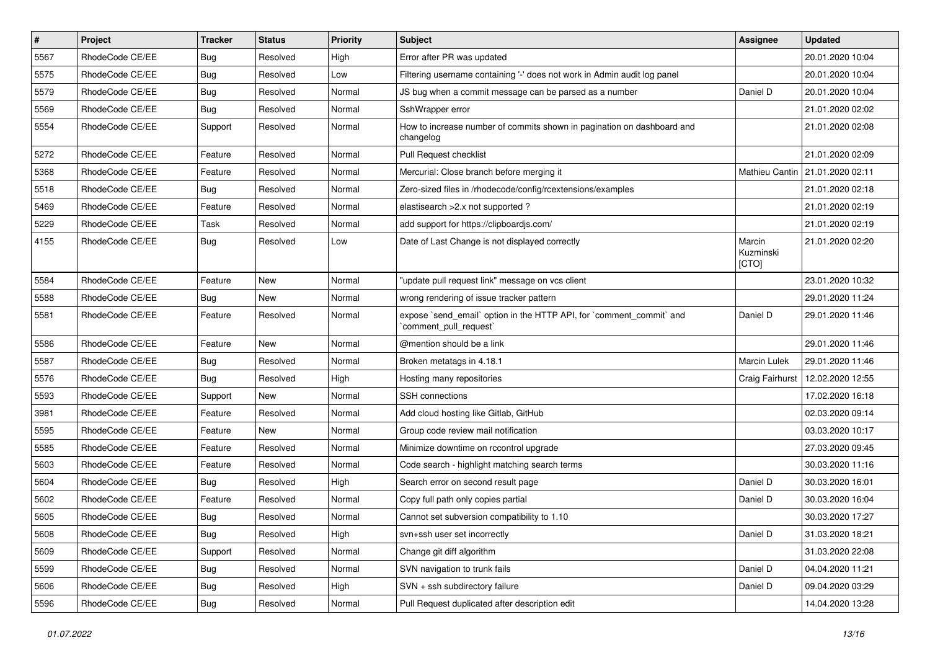| $\pmb{\#}$ | Project         | <b>Tracker</b> | <b>Status</b> | <b>Priority</b> | Subject                                                                                        | Assignee                     | <b>Updated</b>                    |
|------------|-----------------|----------------|---------------|-----------------|------------------------------------------------------------------------------------------------|------------------------------|-----------------------------------|
| 5567       | RhodeCode CE/EE | Bug            | Resolved      | High            | Error after PR was updated                                                                     |                              | 20.01.2020 10:04                  |
| 5575       | RhodeCode CE/EE | <b>Bug</b>     | Resolved      | Low             | Filtering username containing '-' does not work in Admin audit log panel                       |                              | 20.01.2020 10:04                  |
| 5579       | RhodeCode CE/EE | <b>Bug</b>     | Resolved      | Normal          | JS bug when a commit message can be parsed as a number                                         | Daniel D                     | 20.01.2020 10:04                  |
| 5569       | RhodeCode CE/EE | Bug            | Resolved      | Normal          | SshWrapper error                                                                               |                              | 21.01.2020 02:02                  |
| 5554       | RhodeCode CE/EE | Support        | Resolved      | Normal          | How to increase number of commits shown in pagination on dashboard and<br>changelog            |                              | 21.01.2020 02:08                  |
| 5272       | RhodeCode CE/EE | Feature        | Resolved      | Normal          | Pull Request checklist                                                                         |                              | 21.01.2020 02:09                  |
| 5368       | RhodeCode CE/EE | Feature        | Resolved      | Normal          | Mercurial: Close branch before merging it                                                      |                              | Mathieu Cantin   21.01.2020 02:11 |
| 5518       | RhodeCode CE/EE | <b>Bug</b>     | Resolved      | Normal          | Zero-sized files in /rhodecode/config/rcextensions/examples                                    |                              | 21.01.2020 02:18                  |
| 5469       | RhodeCode CE/EE | Feature        | Resolved      | Normal          | elastisearch > 2.x not supported ?                                                             |                              | 21.01.2020 02:19                  |
| 5229       | RhodeCode CE/EE | Task           | Resolved      | Normal          | add support for https://clipboardjs.com/                                                       |                              | 21.01.2020 02:19                  |
| 4155       | RhodeCode CE/EE | Bug            | Resolved      | Low             | Date of Last Change is not displayed correctly                                                 | Marcin<br>Kuzminski<br>[CTO] | 21.01.2020 02:20                  |
| 5584       | RhodeCode CE/EE | Feature        | <b>New</b>    | Normal          | "update pull request link" message on vcs client                                               |                              | 23.01.2020 10:32                  |
| 5588       | RhodeCode CE/EE | Bug            | <b>New</b>    | Normal          | wrong rendering of issue tracker pattern                                                       |                              | 29.01.2020 11:24                  |
| 5581       | RhodeCode CE/EE | Feature        | Resolved      | Normal          | expose `send_email` option in the HTTP API, for `comment_commit` and<br>`comment_pull_request` | Daniel D                     | 29.01.2020 11:46                  |
| 5586       | RhodeCode CE/EE | Feature        | <b>New</b>    | Normal          | @mention should be a link                                                                      |                              | 29.01.2020 11:46                  |
| 5587       | RhodeCode CE/EE | <b>Bug</b>     | Resolved      | Normal          | Broken metatags in 4.18.1                                                                      | <b>Marcin Lulek</b>          | 29.01.2020 11:46                  |
| 5576       | RhodeCode CE/EE | Bug            | Resolved      | High            | Hosting many repositories                                                                      | Craig Fairhurst              | 12.02.2020 12:55                  |
| 5593       | RhodeCode CE/EE | Support        | New           | Normal          | SSH connections                                                                                |                              | 17.02.2020 16:18                  |
| 3981       | RhodeCode CE/EE | Feature        | Resolved      | Normal          | Add cloud hosting like Gitlab, GitHub                                                          |                              | 02.03.2020 09:14                  |
| 5595       | RhodeCode CE/EE | Feature        | <b>New</b>    | Normal          | Group code review mail notification                                                            |                              | 03.03.2020 10:17                  |
| 5585       | RhodeCode CE/EE | Feature        | Resolved      | Normal          | Minimize downtime on rccontrol upgrade                                                         |                              | 27.03.2020 09:45                  |
| 5603       | RhodeCode CE/EE | Feature        | Resolved      | Normal          | Code search - highlight matching search terms                                                  |                              | 30.03.2020 11:16                  |
| 5604       | RhodeCode CE/EE | <b>Bug</b>     | Resolved      | High            | Search error on second result page                                                             | Daniel D                     | 30.03.2020 16:01                  |
| 5602       | RhodeCode CE/EE | Feature        | Resolved      | Normal          | Copy full path only copies partial                                                             | Daniel D                     | 30.03.2020 16:04                  |
| 5605       | RhodeCode CE/EE | <b>Bug</b>     | Resolved      | Normal          | Cannot set subversion compatibility to 1.10                                                    |                              | 30.03.2020 17:27                  |
| 5608       | RhodeCode CE/EE | <b>Bug</b>     | Resolved      | High            | svn+ssh user set incorrectly                                                                   | Daniel D                     | 31.03.2020 18:21                  |
| 5609       | RhodeCode CE/EE | Support        | Resolved      | Normal          | Change git diff algorithm                                                                      |                              | 31.03.2020 22:08                  |
| 5599       | RhodeCode CE/EE | <b>Bug</b>     | Resolved      | Normal          | SVN navigation to trunk fails                                                                  | Daniel D                     | 04.04.2020 11:21                  |
| 5606       | RhodeCode CE/EE | <b>Bug</b>     | Resolved      | High            | SVN + ssh subdirectory failure                                                                 | Daniel D                     | 09.04.2020 03:29                  |
| 5596       | RhodeCode CE/EE | <b>Bug</b>     | Resolved      | Normal          | Pull Request duplicated after description edit                                                 |                              | 14.04.2020 13:28                  |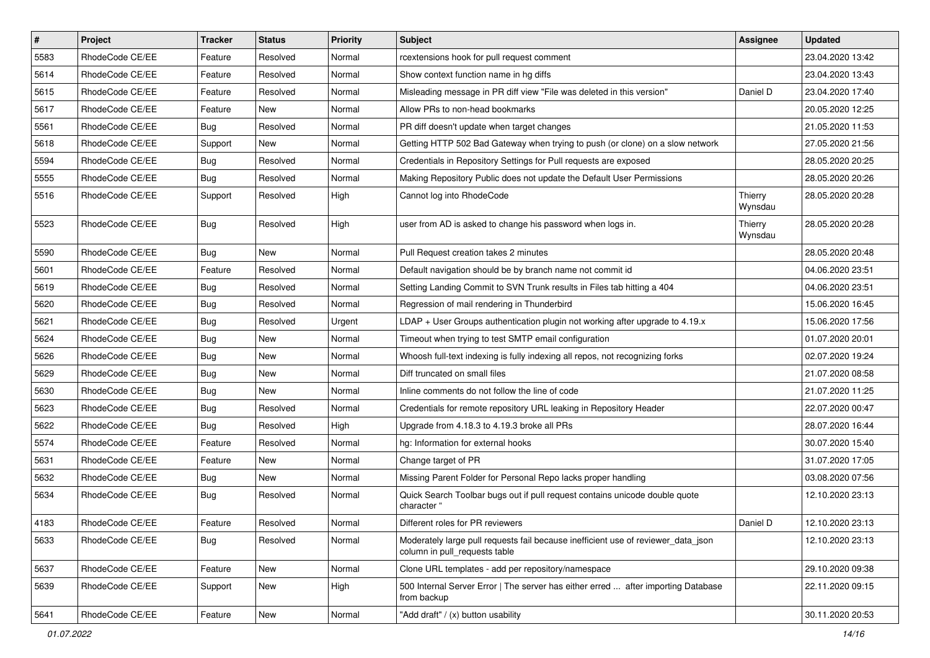| $\vert$ # | Project         | Tracker    | <b>Status</b> | <b>Priority</b> | <b>Subject</b>                                                                                                     | <b>Assignee</b>    | <b>Updated</b>   |
|-----------|-----------------|------------|---------------|-----------------|--------------------------------------------------------------------------------------------------------------------|--------------------|------------------|
| 5583      | RhodeCode CE/EE | Feature    | Resolved      | Normal          | rcextensions hook for pull request comment                                                                         |                    | 23.04.2020 13:42 |
| 5614      | RhodeCode CE/EE | Feature    | Resolved      | Normal          | Show context function name in hg diffs                                                                             |                    | 23.04.2020 13:43 |
| 5615      | RhodeCode CE/EE | Feature    | Resolved      | Normal          | Misleading message in PR diff view "File was deleted in this version"                                              | Daniel D           | 23.04.2020 17:40 |
| 5617      | RhodeCode CE/EE | Feature    | New           | Normal          | Allow PRs to non-head bookmarks                                                                                    |                    | 20.05.2020 12:25 |
| 5561      | RhodeCode CE/EE | Bug        | Resolved      | Normal          | PR diff doesn't update when target changes                                                                         |                    | 21.05.2020 11:53 |
| 5618      | RhodeCode CE/EE | Support    | New           | Normal          | Getting HTTP 502 Bad Gateway when trying to push (or clone) on a slow network                                      |                    | 27.05.2020 21:56 |
| 5594      | RhodeCode CE/EE | Bug        | Resolved      | Normal          | Credentials in Repository Settings for Pull requests are exposed                                                   |                    | 28.05.2020 20:25 |
| 5555      | RhodeCode CE/EE | Bug        | Resolved      | Normal          | Making Repository Public does not update the Default User Permissions                                              |                    | 28.05.2020 20:26 |
| 5516      | RhodeCode CE/EE | Support    | Resolved      | High            | Cannot log into RhodeCode                                                                                          | Thierry<br>Wynsdau | 28.05.2020 20:28 |
| 5523      | RhodeCode CE/EE | Bug        | Resolved      | High            | user from AD is asked to change his password when logs in.                                                         | Thierry<br>Wynsdau | 28.05.2020 20:28 |
| 5590      | RhodeCode CE/EE | Bug        | New           | Normal          | Pull Request creation takes 2 minutes                                                                              |                    | 28.05.2020 20:48 |
| 5601      | RhodeCode CE/EE | Feature    | Resolved      | Normal          | Default navigation should be by branch name not commit id                                                          |                    | 04.06.2020 23:51 |
| 5619      | RhodeCode CE/EE | <b>Bug</b> | Resolved      | Normal          | Setting Landing Commit to SVN Trunk results in Files tab hitting a 404                                             |                    | 04.06.2020 23:51 |
| 5620      | RhodeCode CE/EE | <b>Bug</b> | Resolved      | Normal          | Regression of mail rendering in Thunderbird                                                                        |                    | 15.06.2020 16:45 |
| 5621      | RhodeCode CE/EE | <b>Bug</b> | Resolved      | Urgent          | LDAP + User Groups authentication plugin not working after upgrade to $4.19.x$                                     |                    | 15.06.2020 17:56 |
| 5624      | RhodeCode CE/EE | Bug        | New           | Normal          | Timeout when trying to test SMTP email configuration                                                               |                    | 01.07.2020 20:01 |
| 5626      | RhodeCode CE/EE | <b>Bug</b> | New           | Normal          | Whoosh full-text indexing is fully indexing all repos, not recognizing forks                                       |                    | 02.07.2020 19:24 |
| 5629      | RhodeCode CE/EE | <b>Bug</b> | New           | Normal          | Diff truncated on small files                                                                                      |                    | 21.07.2020 08:58 |
| 5630      | RhodeCode CE/EE | Bug        | <b>New</b>    | Normal          | Inline comments do not follow the line of code                                                                     |                    | 21.07.2020 11:25 |
| 5623      | RhodeCode CE/EE | <b>Bug</b> | Resolved      | Normal          | Credentials for remote repository URL leaking in Repository Header                                                 |                    | 22.07.2020 00:47 |
| 5622      | RhodeCode CE/EE | Bug        | Resolved      | High            | Upgrade from 4.18.3 to 4.19.3 broke all PRs                                                                        |                    | 28.07.2020 16:44 |
| 5574      | RhodeCode CE/EE | Feature    | Resolved      | Normal          | hg: Information for external hooks                                                                                 |                    | 30.07.2020 15:40 |
| 5631      | RhodeCode CE/EE | Feature    | New           | Normal          | Change target of PR                                                                                                |                    | 31.07.2020 17:05 |
| 5632      | RhodeCode CE/EE | Bug        | New           | Normal          | Missing Parent Folder for Personal Repo lacks proper handling                                                      |                    | 03.08.2020 07:56 |
| 5634      | RhodeCode CE/EE | <b>Bug</b> | Resolved      | Normal          | Quick Search Toolbar bugs out if pull request contains unicode double quote<br>character '                         |                    | 12.10.2020 23:13 |
| 4183      | RhodeCode CE/EE | Feature    | Resolved      | Normal          | Different roles for PR reviewers                                                                                   | Daniel D           | 12.10.2020 23:13 |
| 5633      | RhodeCode CE/EE | <b>Bug</b> | Resolved      | Normal          | Moderately large pull requests fail because inefficient use of reviewer_data_json<br>column in pull requests table |                    | 12.10.2020 23:13 |
| 5637      | RhodeCode CE/EE | Feature    | New           | Normal          | Clone URL templates - add per repository/namespace                                                                 |                    | 29.10.2020 09:38 |
| 5639      | RhodeCode CE/EE | Support    | New           | High            | 500 Internal Server Error   The server has either erred  after importing Database<br>from backup                   |                    | 22.11.2020 09:15 |
| 5641      | RhodeCode CE/EE | Feature    | New           | Normal          | "Add draft" / (x) button usability                                                                                 |                    | 30.11.2020 20:53 |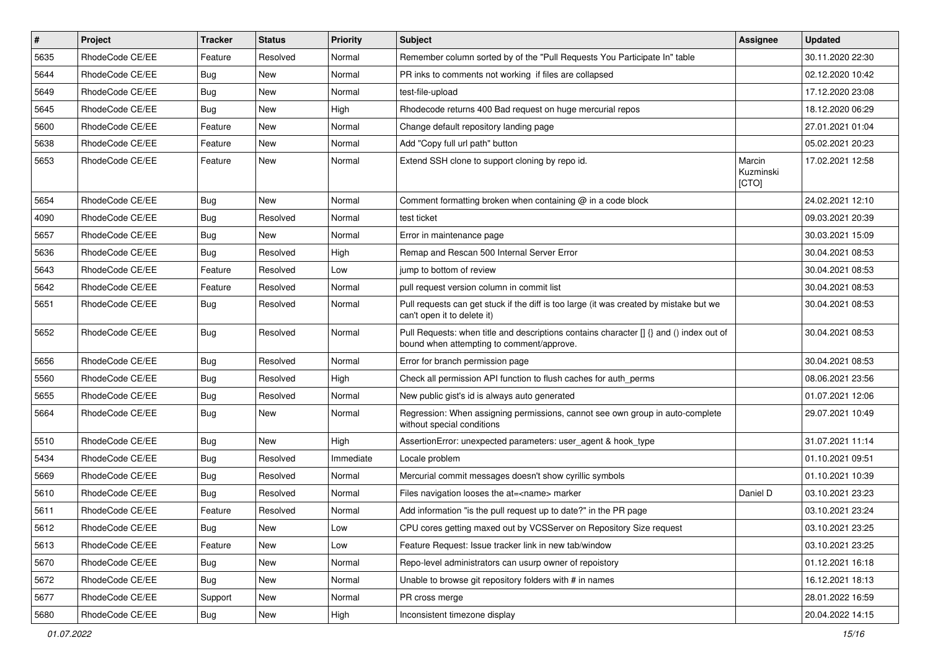| #    | Project         | <b>Tracker</b> | <b>Status</b> | <b>Priority</b> | <b>Subject</b>                                                                                                                       | <b>Assignee</b>              | <b>Updated</b>   |
|------|-----------------|----------------|---------------|-----------------|--------------------------------------------------------------------------------------------------------------------------------------|------------------------------|------------------|
| 5635 | RhodeCode CE/EE | Feature        | Resolved      | Normal          | Remember column sorted by of the "Pull Requests You Participate In" table                                                            |                              | 30.11.2020 22:30 |
| 5644 | RhodeCode CE/EE | Bug            | <b>New</b>    | Normal          | PR inks to comments not working if files are collapsed                                                                               |                              | 02.12.2020 10:42 |
| 5649 | RhodeCode CE/EE | Bug            | New           | Normal          | test-file-upload                                                                                                                     |                              | 17.12.2020 23:08 |
| 5645 | RhodeCode CE/EE | Bug            | New           | High            | Rhodecode returns 400 Bad request on huge mercurial repos                                                                            |                              | 18.12.2020 06:29 |
| 5600 | RhodeCode CE/EE | Feature        | <b>New</b>    | Normal          | Change default repository landing page                                                                                               |                              | 27.01.2021 01:04 |
| 5638 | RhodeCode CE/EE | Feature        | New           | Normal          | Add "Copy full url path" button                                                                                                      |                              | 05.02.2021 20:23 |
| 5653 | RhodeCode CE/EE | Feature        | <b>New</b>    | Normal          | Extend SSH clone to support cloning by repo id.                                                                                      | Marcin<br>Kuzminski<br>[CTO] | 17.02.2021 12:58 |
| 5654 | RhodeCode CE/EE | Bug            | <b>New</b>    | Normal          | Comment formatting broken when containing @ in a code block                                                                          |                              | 24.02.2021 12:10 |
| 4090 | RhodeCode CE/EE | Bug            | Resolved      | Normal          | test ticket                                                                                                                          |                              | 09.03.2021 20:39 |
| 5657 | RhodeCode CE/EE | Bug            | <b>New</b>    | Normal          | Error in maintenance page                                                                                                            |                              | 30.03.2021 15:09 |
| 5636 | RhodeCode CE/EE | Bug            | Resolved      | High            | Remap and Rescan 500 Internal Server Error                                                                                           |                              | 30.04.2021 08:53 |
| 5643 | RhodeCode CE/EE | Feature        | Resolved      | Low             | jump to bottom of review                                                                                                             |                              | 30.04.2021 08:53 |
| 5642 | RhodeCode CE/EE | Feature        | Resolved      | Normal          | pull request version column in commit list                                                                                           |                              | 30.04.2021 08:53 |
| 5651 | RhodeCode CE/EE | Bug            | Resolved      | Normal          | Pull requests can get stuck if the diff is too large (it was created by mistake but we<br>can't open it to delete it)                |                              | 30.04.2021 08:53 |
| 5652 | RhodeCode CE/EE | Bug            | Resolved      | Normal          | Pull Requests: when title and descriptions contains character [] {} and () index out of<br>bound when attempting to comment/approve. |                              | 30.04.2021 08:53 |
| 5656 | RhodeCode CE/EE | Bug            | Resolved      | Normal          | Error for branch permission page                                                                                                     |                              | 30.04.2021 08:53 |
| 5560 | RhodeCode CE/EE | <b>Bug</b>     | Resolved      | High            | Check all permission API function to flush caches for auth_perms                                                                     |                              | 08.06.2021 23:56 |
| 5655 | RhodeCode CE/EE | Bug            | Resolved      | Normal          | New public gist's id is always auto generated                                                                                        |                              | 01.07.2021 12:06 |
| 5664 | RhodeCode CE/EE | <b>Bug</b>     | New           | Normal          | Regression: When assigning permissions, cannot see own group in auto-complete<br>without special conditions                          |                              | 29.07.2021 10:49 |
| 5510 | RhodeCode CE/EE | Bug            | New           | High            | AssertionError: unexpected parameters: user agent & hook type                                                                        |                              | 31.07.2021 11:14 |
| 5434 | RhodeCode CE/EE | Bug            | Resolved      | Immediate       | Locale problem                                                                                                                       |                              | 01.10.2021 09:51 |
| 5669 | RhodeCode CE/EE | Bug            | Resolved      | Normal          | Mercurial commit messages doesn't show cyrillic symbols                                                                              |                              | 01.10.2021 10:39 |
| 5610 | RhodeCode CE/EE | Bug            | Resolved      | Normal          | Files navigation looses the at= <name> marker</name>                                                                                 | Daniel D                     | 03.10.2021 23:23 |
| 5611 | RhodeCode CE/EE | Feature        | Resolved      | Normal          | Add information "is the pull request up to date?" in the PR page                                                                     |                              | 03.10.2021 23:24 |
| 5612 | RhodeCode CE/EE | Bug            | New           | Low             | CPU cores getting maxed out by VCSServer on Repository Size request                                                                  |                              | 03.10.2021 23:25 |
| 5613 | RhodeCode CE/EE | Feature        | New           | Low             | Feature Request: Issue tracker link in new tab/window                                                                                |                              | 03.10.2021 23:25 |
| 5670 | RhodeCode CE/EE | Bug            | New           | Normal          | Repo-level administrators can usurp owner of repoistory                                                                              |                              | 01.12.2021 16:18 |
| 5672 | RhodeCode CE/EE | <b>Bug</b>     | New           | Normal          | Unable to browse git repository folders with # in names                                                                              |                              | 16.12.2021 18:13 |
| 5677 | RhodeCode CE/EE | Support        | New           | Normal          | PR cross merge                                                                                                                       |                              | 28.01.2022 16:59 |
| 5680 | RhodeCode CE/EE | Bug            | New           | High            | Inconsistent timezone display                                                                                                        |                              | 20.04.2022 14:15 |